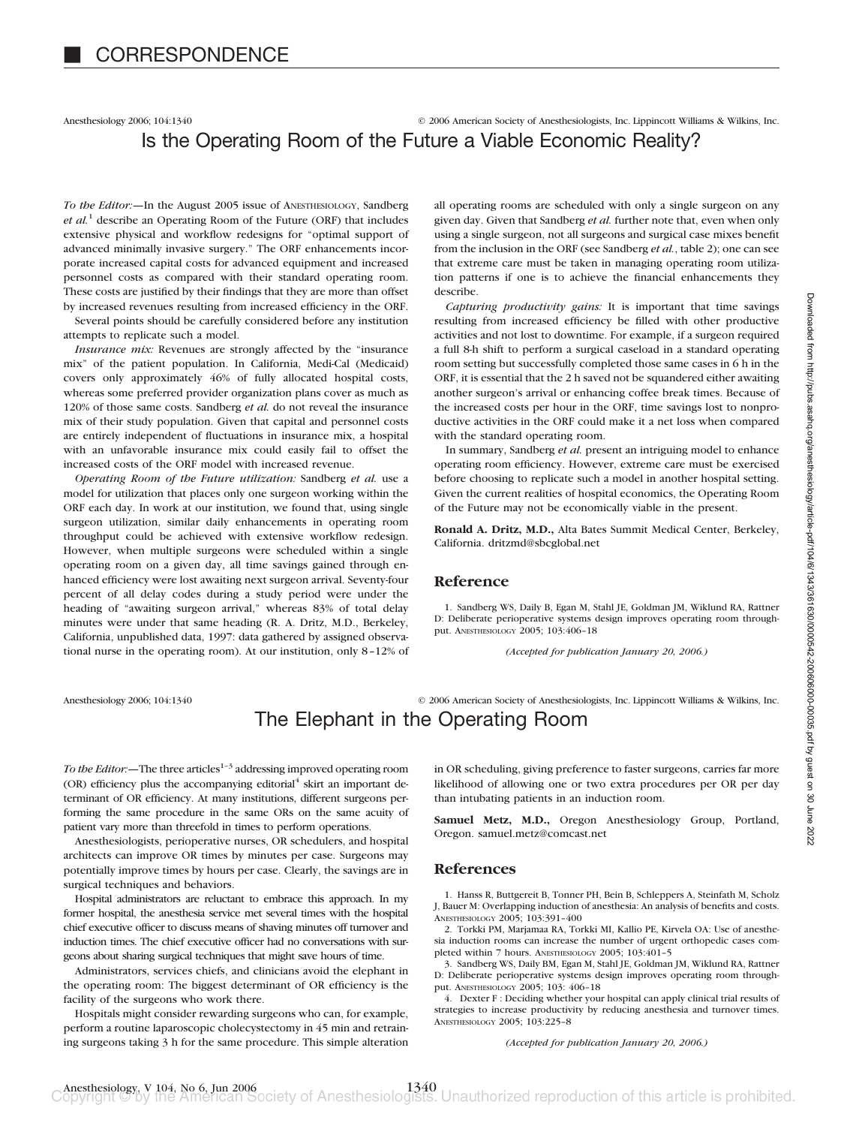Anesthesiology 2006; 104:1340 © 2006 American Society of Anesthesiologists, Inc. Lippincott Williams & Wilkins, Inc.

## Is the Operating Room of the Future a Viable Economic Reality?

*To the Editor:—*In the August 2005 issue of ANESTHESIOLOGY, Sandberg *et al.*<sup>1</sup> describe an Operating Room of the Future (ORF) that includes extensive physical and workflow redesigns for "optimal support of advanced minimally invasive surgery." The ORF enhancements incorporate increased capital costs for advanced equipment and increased personnel costs as compared with their standard operating room. These costs are justified by their findings that they are more than offset by increased revenues resulting from increased efficiency in the ORF.

Several points should be carefully considered before any institution attempts to replicate such a model.

*Insurance mix:* Revenues are strongly affected by the "insurance" mix" of the patient population. In California, Medi-Cal (Medicaid) covers only approximately 46% of fully allocated hospital costs, whereas some preferred provider organization plans cover as much as 120% of those same costs. Sandberg *et al.* do not reveal the insurance mix of their study population. Given that capital and personnel costs are entirely independent of fluctuations in insurance mix, a hospital with an unfavorable insurance mix could easily fail to offset the increased costs of the ORF model with increased revenue.

*Operating Room of the Future utilization:* Sandberg *et al.* use a model for utilization that places only one surgeon working within the ORF each day. In work at our institution, we found that, using single surgeon utilization, similar daily enhancements in operating room throughput could be achieved with extensive workflow redesign. However, when multiple surgeons were scheduled within a single operating room on a given day, all time savings gained through enhanced efficiency were lost awaiting next surgeon arrival. Seventy-four percent of all delay codes during a study period were under the heading of "awaiting surgeon arrival," whereas 83% of total delay minutes were under that same heading (R. A. Dritz, M.D., Berkeley, California, unpublished data, 1997: data gathered by assigned observational nurse in the operating room). At our institution, only 8 –12% of

all operating rooms are scheduled with only a single surgeon on any given day. Given that Sandberg *et al.* further note that, even when only using a single surgeon, not all surgeons and surgical case mixes benefit from the inclusion in the ORF (see Sandberg *et al.*, table 2); one can see that extreme care must be taken in managing operating room utilization patterns if one is to achieve the financial enhancements they describe.

*Capturing productivity gains:* It is important that time savings resulting from increased efficiency be filled with other productive activities and not lost to downtime. For example, if a surgeon required a full 8-h shift to perform a surgical caseload in a standard operating room setting but successfully completed those same cases in 6 h in the ORF, it is essential that the 2 h saved not be squandered either awaiting another surgeon's arrival or enhancing coffee break times. Because of the increased costs per hour in the ORF, time savings lost to nonproductive activities in the ORF could make it a net loss when compared with the standard operating room.

In summary, Sandberg *et al.* present an intriguing model to enhance operating room efficiency. However, extreme care must be exercised before choosing to replicate such a model in another hospital setting. Given the current realities of hospital economics, the Operating Room of the Future may not be economically viable in the present.

**Ronald A. Dritz, M.D.,** Alta Bates Summit Medical Center, Berkeley, California. dritzmd@sbcglobal.net

#### **Reference**

1. Sandberg WS, Daily B, Egan M, Stahl JE, Goldman JM, Wiklund RA, Rattner D: Deliberate perioperative systems design improves operating room throughput. ANESTHESIOLOGY 2005; 103:406–18

*(Accepted for publication January 20, 2006.)*

Anesthesiology 2006; 104:1340 © 2006 American Society of Anesthesiologists, Inc. Lippincott Williams & Wilkins, Inc.

# The Elephant in the Operating Room

*To the Editor:*—The three articles<sup>1-3</sup> addressing improved operating room (OR) efficiency plus the accompanying editorial<sup>4</sup> skirt an important determinant of OR efficiency. At many institutions, different surgeons performing the same procedure in the same ORs on the same acuity of patient vary more than threefold in times to perform operations.

Anesthesiologists, perioperative nurses, OR schedulers, and hospital architects can improve OR times by minutes per case. Surgeons may potentially improve times by hours per case. Clearly, the savings are in surgical techniques and behaviors.

Hospital administrators are reluctant to embrace this approach. In my former hospital, the anesthesia service met several times with the hospital chief executive officer to discuss means of shaving minutes off turnover and induction times. The chief executive officer had no conversations with surgeons about sharing surgical techniques that might save hours of time.

Administrators, services chiefs, and clinicians avoid the elephant in the operating room: The biggest determinant of OR efficiency is the facility of the surgeons who work there.

Hospitals might consider rewarding surgeons who can, for example, perform a routine laparoscopic cholecystectomy in 45 min and retraining surgeons taking 3 h for the same procedure. This simple alteration in OR scheduling, giving preference to faster surgeons, carries far more likelihood of allowing one or two extra procedures per OR per day than intubating patients in an induction room.

**Samuel Metz, M.D.,** Oregon Anesthesiology Group, Portland, Oregon. samuel.metz@comcast.net

#### **References**

1. Hanss R, Buttgereit B, Tonner PH, Bein B, Schleppers A, Steinfath M, Scholz J, Bauer M: Overlapping induction of anesthesia: An analysis of benefits and costs. ANESTHESIOLOGY 2005; 103:391–400

2. Torkki PM, Marjamaa RA, Torkki MI, Kallio PE, Kirvela OA: Use of anesthesia induction rooms can increase the number of urgent orthopedic cases completed within 7 hours. ANESTHESIOLOGY 2005; 103:401–5

3. Sandberg WS, Daily BM, Egan M, Stahl JE, Goldman JM, Wiklund RA, Rattner D: Deliberate perioperative systems design improves operating room throughput. ANESTHESIOLOGY 2005; 103: 406–18

4. Dexter F : Deciding whether your hospital can apply clinical trial results of strategies to increase productivity by reducing anesthesia and turnover times. ANESTHESIOLOGY 2005; 103:225–8

#### *(Accepted for publication January 20, 2006.)*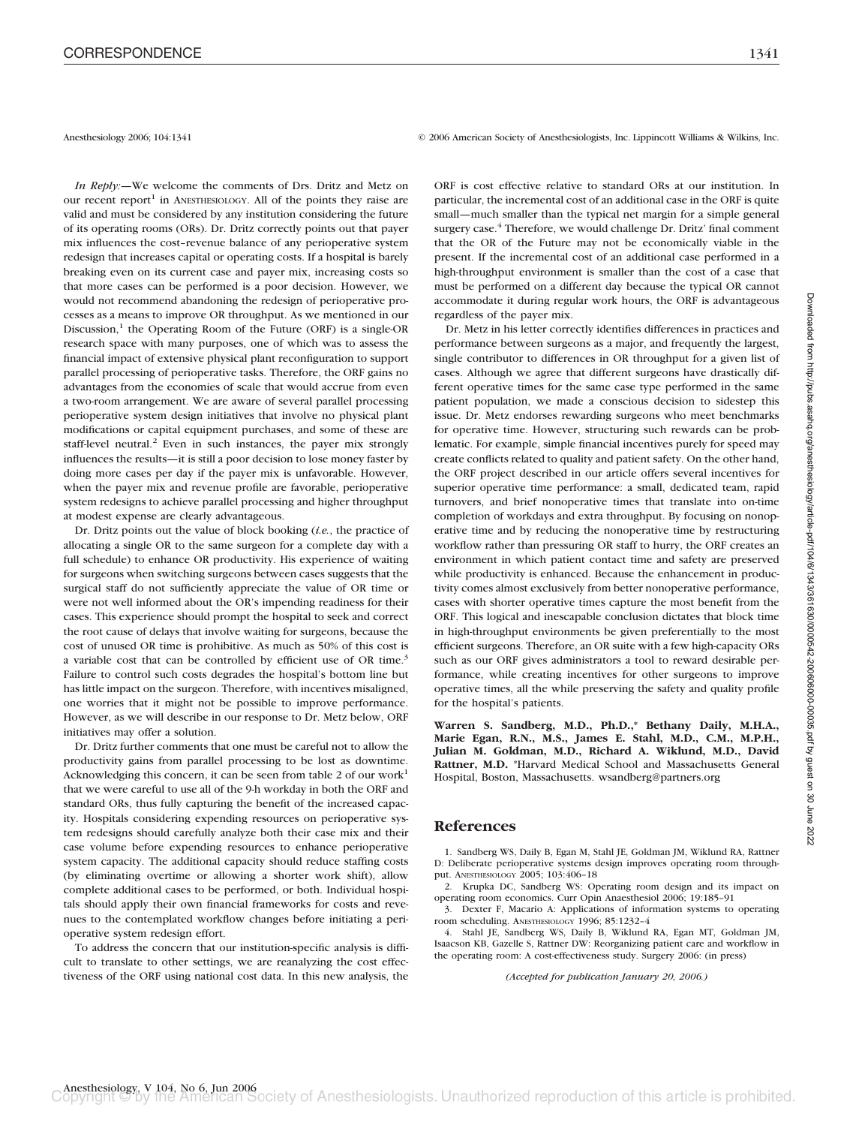*In Reply:*—We welcome the comments of Drs. Dritz and Metz on our recent report<sup>1</sup> in ANESTHESIOLOGY. All of the points they raise are valid and must be considered by any institution considering the future of its operating rooms (ORs). Dr. Dritz correctly points out that payer mix influences the cost–revenue balance of any perioperative system redesign that increases capital or operating costs. If a hospital is barely breaking even on its current case and payer mix, increasing costs so that more cases can be performed is a poor decision. However, we would not recommend abandoning the redesign of perioperative processes as a means to improve OR throughput. As we mentioned in our Discussion, $<sup>1</sup>$  the Operating Room of the Future (ORF) is a single-OR</sup> research space with many purposes, one of which was to assess the financial impact of extensive physical plant reconfiguration to support parallel processing of perioperative tasks. Therefore, the ORF gains no advantages from the economies of scale that would accrue from even a two-room arrangement. We are aware of several parallel processing perioperative system design initiatives that involve no physical plant modifications or capital equipment purchases, and some of these are staff-level neutral.<sup>2</sup> Even in such instances, the payer mix strongly influences the results—it is still a poor decision to lose money faster by doing more cases per day if the payer mix is unfavorable. However, when the payer mix and revenue profile are favorable, perioperative system redesigns to achieve parallel processing and higher throughput at modest expense are clearly advantageous.

Dr. Dritz points out the value of block booking (*i.e.*, the practice of allocating a single OR to the same surgeon for a complete day with a full schedule) to enhance OR productivity. His experience of waiting for surgeons when switching surgeons between cases suggests that the surgical staff do not sufficiently appreciate the value of OR time or were not well informed about the OR's impending readiness for their cases. This experience should prompt the hospital to seek and correct the root cause of delays that involve waiting for surgeons, because the cost of unused OR time is prohibitive. As much as 50% of this cost is a variable cost that can be controlled by efficient use of OR time.<sup>3</sup> Failure to control such costs degrades the hospital's bottom line but has little impact on the surgeon. Therefore, with incentives misaligned, one worries that it might not be possible to improve performance. However, as we will describe in our response to Dr. Metz below, ORF initiatives may offer a solution.

Dr. Dritz further comments that one must be careful not to allow the productivity gains from parallel processing to be lost as downtime. Acknowledging this concern, it can be seen from table 2 of our work<sup>1</sup> that we were careful to use all of the 9-h workday in both the ORF and standard ORs, thus fully capturing the benefit of the increased capacity. Hospitals considering expending resources on perioperative system redesigns should carefully analyze both their case mix and their case volume before expending resources to enhance perioperative system capacity. The additional capacity should reduce staffing costs (by eliminating overtime or allowing a shorter work shift), allow complete additional cases to be performed, or both. Individual hospitals should apply their own financial frameworks for costs and revenues to the contemplated workflow changes before initiating a perioperative system redesign effort.

To address the concern that our institution-specific analysis is difficult to translate to other settings, we are reanalyzing the cost effectiveness of the ORF using national cost data. In this new analysis, the

Anesthesiology 2006; 104:1341 © 2006 American Society of Anesthesiologists, Inc. Lippincott Williams & Wilkins, Inc.

ORF is cost effective relative to standard ORs at our institution. In particular, the incremental cost of an additional case in the ORF is quite small—much smaller than the typical net margin for a simple general surgery case.<sup>4</sup> Therefore, we would challenge Dr. Dritz' final comment that the OR of the Future may not be economically viable in the present. If the incremental cost of an additional case performed in a high-throughput environment is smaller than the cost of a case that must be performed on a different day because the typical OR cannot accommodate it during regular work hours, the ORF is advantageous regardless of the payer mix.

Dr. Metz in his letter correctly identifies differences in practices and performance between surgeons as a major, and frequently the largest, single contributor to differences in OR throughput for a given list of cases. Although we agree that different surgeons have drastically different operative times for the same case type performed in the same patient population, we made a conscious decision to sidestep this issue. Dr. Metz endorses rewarding surgeons who meet benchmarks for operative time. However, structuring such rewards can be problematic. For example, simple financial incentives purely for speed may create conflicts related to quality and patient safety. On the other hand, the ORF project described in our article offers several incentives for superior operative time performance: a small, dedicated team, rapid turnovers, and brief nonoperative times that translate into on-time completion of workdays and extra throughput. By focusing on nonoperative time and by reducing the nonoperative time by restructuring workflow rather than pressuring OR staff to hurry, the ORF creates an environment in which patient contact time and safety are preserved while productivity is enhanced. Because the enhancement in productivity comes almost exclusively from better nonoperative performance, cases with shorter operative times capture the most benefit from the ORF. This logical and inescapable conclusion dictates that block time in high-throughput environments be given preferentially to the most efficient surgeons. Therefore, an OR suite with a few high-capacity ORs such as our ORF gives administrators a tool to reward desirable performance, while creating incentives for other surgeons to improve operative times, all the while preserving the safety and quality profile for the hospital's patients.

**Warren S. Sandberg, M.D., Ph.D.,\* Bethany Daily, M.H.A., Marie Egan, R.N., M.S., James E. Stahl, M.D., C.M., M.P.H., Julian M. Goldman, M.D., Richard A. Wiklund, M.D., David Rattner, M.D.** \*Harvard Medical School and Massachusetts General Hospital, Boston, Massachusetts. wsandberg@partners.org

#### **References**

1. Sandberg WS, Daily B, Egan M, Stahl JE, Goldman JM, Wiklund RA, Rattner D: Deliberate perioperative systems design improves operating room throughput. ANESTHESIOLOGY 2005; 103:406–18

2. Krupka DC, Sandberg WS: Operating room design and its impact on operating room economics. Curr Opin Anaesthesiol 2006; 19:185–91

3. Dexter F, Macario A: Applications of information systems to operating room scheduling. ANESTHESIOLOGY 1996; 85:1232–4

4. Stahl JE, Sandberg WS, Daily B, Wiklund RA, Egan MT, Goldman JM, Isaacson KB, Gazelle S, Rattner DW: Reorganizing patient care and workflow in the operating room: A cost-effectiveness study. Surgery 2006: (in press)

*(Accepted for publication January 20, 2006.)*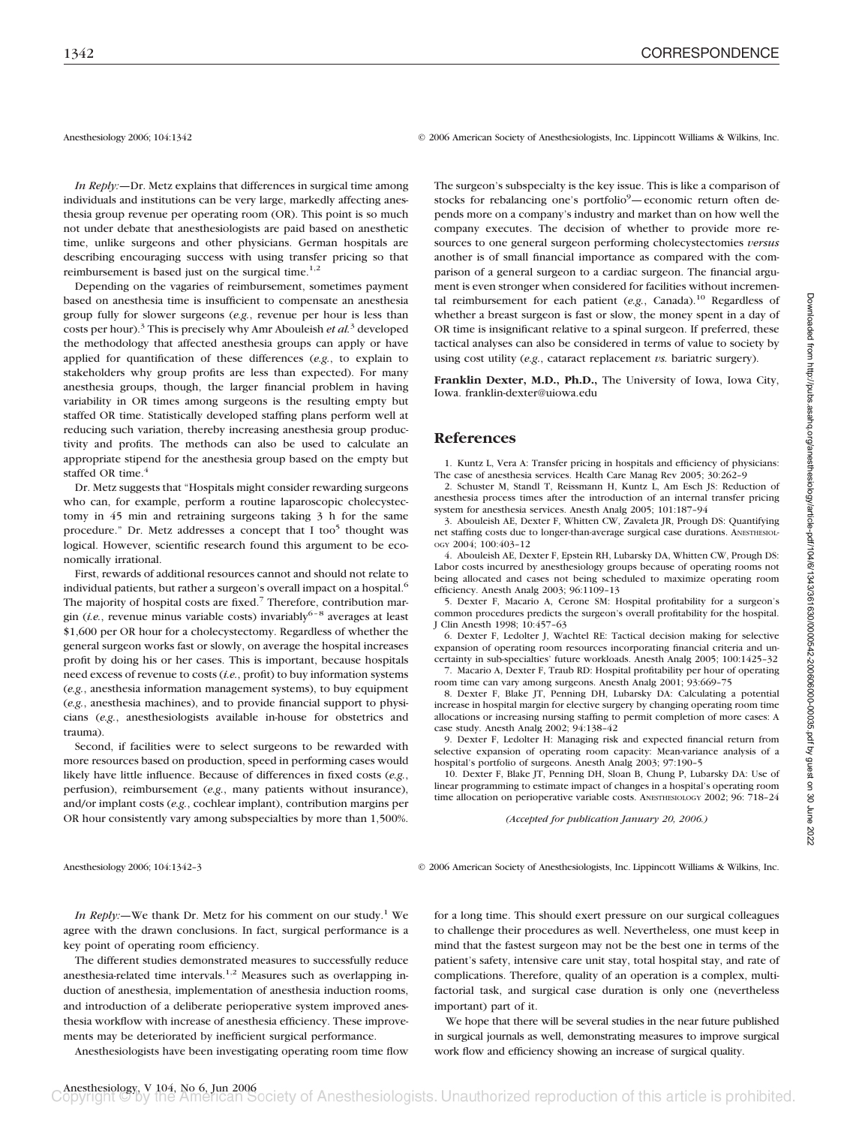Anesthesiology 2006; 104:1342 <sup>©</sup> 2006 American Society of Anesthesiologists, Inc. Lippincott Williams & Wilkins, Inc.

*In Reply:—*Dr. Metz explains that differences in surgical time among individuals and institutions can be very large, markedly affecting anesthesia group revenue per operating room (OR). This point is so much not under debate that anesthesiologists are paid based on anesthetic time, unlike surgeons and other physicians. German hospitals are describing encouraging success with using transfer pricing so that reimbursement is based just on the surgical time.<sup>1,2</sup>

Depending on the vagaries of reimbursement, sometimes payment based on anesthesia time is insufficient to compensate an anesthesia group fully for slower surgeons (*e.g.*, revenue per hour is less than costs per hour).3 This is precisely why Amr Abouleish *et al.*<sup>3</sup> developed the methodology that affected anesthesia groups can apply or have applied for quantification of these differences (*e.g.*, to explain to stakeholders why group profits are less than expected). For many anesthesia groups, though, the larger financial problem in having variability in OR times among surgeons is the resulting empty but staffed OR time. Statistically developed staffing plans perform well at reducing such variation, thereby increasing anesthesia group productivity and profits. The methods can also be used to calculate an appropriate stipend for the anesthesia group based on the empty but staffed OR time.<sup>4</sup>

Dr. Metz suggests that "Hospitals might consider rewarding surgeons who can, for example, perform a routine laparoscopic cholecystectomy in 45 min and retraining surgeons taking 3 h for the same procedure." Dr. Metz addresses a concept that I too<sup>5</sup> thought was logical. However, scientific research found this argument to be economically irrational.

First, rewards of additional resources cannot and should not relate to individual patients, but rather a surgeon's overall impact on a hospital.<sup>6</sup> The majority of hospital costs are fixed.<sup>7</sup> Therefore, contribution margin (*i.e.*, revenue minus variable costs) invariably<sup>6-8</sup> averages at least \$1,600 per OR hour for a cholecystectomy. Regardless of whether the general surgeon works fast or slowly, on average the hospital increases profit by doing his or her cases. This is important, because hospitals need excess of revenue to costs (*i.e.*, profit) to buy information systems (*e.g.*, anesthesia information management systems), to buy equipment (*e.g.*, anesthesia machines), and to provide financial support to physicians (*e.g.*, anesthesiologists available in-house for obstetrics and trauma).

Second, if facilities were to select surgeons to be rewarded with more resources based on production, speed in performing cases would likely have little influence. Because of differences in fixed costs (*e.g.*, perfusion), reimbursement (*e.g.*, many patients without insurance), and/or implant costs (*e.g.*, cochlear implant), contribution margins per OR hour consistently vary among subspecialties by more than 1,500%. The surgeon's subspecialty is the key issue. This is like a comparison of stocks for rebalancing one's portfolio<sup>9</sup> - economic return often depends more on a company's industry and market than on how well the company executes. The decision of whether to provide more resources to one general surgeon performing cholecystectomies *versus* another is of small financial importance as compared with the comparison of a general surgeon to a cardiac surgeon. The financial argument is even stronger when considered for facilities without incremental reimbursement for each patient (*e.g.*, Canada).10 Regardless of whether a breast surgeon is fast or slow, the money spent in a day of OR time is insignificant relative to a spinal surgeon. If preferred, these tactical analyses can also be considered in terms of value to society by using cost utility (*e.g.*, cataract replacement *vs.* bariatric surgery).

**Franklin Dexter, M.D., Ph.D.,** The University of Iowa, Iowa City, Iowa. franklin-dexter@uiowa.edu

#### **References**

1. Kuntz L, Vera A: Transfer pricing in hospitals and efficiency of physicians: The case of anesthesia services. Health Care Manag Rev 2005; 30:262–9

2. Schuster M, Standl T, Reissmann H, Kuntz L, Am Esch JS: Reduction of anesthesia process times after the introduction of an internal transfer pricing system for anesthesia services. Anesth Analg 2005; 101:187–94

3. Abouleish AE, Dexter F, Whitten CW, Zavaleta JR, Prough DS: Quantifying net staffing costs due to longer-than-average surgical case durations. ANESTHESIOL-OGY 2004; 100:403–12

4. Abouleish AE, Dexter F, Epstein RH, Lubarsky DA, Whitten CW, Prough DS: Labor costs incurred by anesthesiology groups because of operating rooms not being allocated and cases not being scheduled to maximize operating room efficiency. Anesth Analg 2003; 96:1109–13

5. Dexter F, Macario A, Cerone SM: Hospital profitability for a surgeon's common procedures predicts the surgeon's overall profitability for the hospital. J Clin Anesth 1998; 10:457–63

6. Dexter F, Ledolter J, Wachtel RE: Tactical decision making for selective expansion of operating room resources incorporating financial criteria and uncertainty in sub-specialties' future workloads. Anesth Analg 2005; 100:1425–32

7. Macario A, Dexter F, Traub RD: Hospital profitability per hour of operating room time can vary among surgeons. Anesth Analg 2001; 93:669–75

8. Dexter F, Blake JT, Penning DH, Lubarsky DA: Calculating a potential increase in hospital margin for elective surgery by changing operating room time allocations or increasing nursing staffing to permit completion of more cases: A case study. Anesth Analg 2002; 94:138–42

9. Dexter F, Ledolter H: Managing risk and expected financial return from selective expansion of operating room capacity: Mean-variance analysis of a hospital's portfolio of surgeons. Anesth Analg 2003; 97:190–5

10. Dexter F, Blake JT, Penning DH, Sloan B, Chung P, Lubarsky DA: Use of linear programming to estimate impact of changes in a hospital's operating room time allocation on perioperative variable costs. ANESTHESIOLOGY 2002; 96: 718–24

*(Accepted for publication January 20, 2006.)*

Anesthesiology 2006; 104:1342–3 © 2006 American Society of Anesthesiologists, Inc. Lippincott Williams & Wilkins, Inc.

*In Reply:*—We thank Dr. Metz for his comment on our study.<sup>1</sup> We agree with the drawn conclusions. In fact, surgical performance is a key point of operating room efficiency.

The different studies demonstrated measures to successfully reduce anesthesia-related time intervals.<sup>1,2</sup> Measures such as overlapping induction of anesthesia, implementation of anesthesia induction rooms, and introduction of a deliberate perioperative system improved anesthesia workflow with increase of anesthesia efficiency. These improvements may be deteriorated by inefficient surgical performance.

Anesthesiologists have been investigating operating room time flow

for a long time. This should exert pressure on our surgical colleagues to challenge their procedures as well. Nevertheless, one must keep in mind that the fastest surgeon may not be the best one in terms of the patient's safety, intensive care unit stay, total hospital stay, and rate of complications. Therefore, quality of an operation is a complex, multifactorial task, and surgical case duration is only one (nevertheless important) part of it.

We hope that there will be several studies in the near future published in surgical journals as well, demonstrating measures to improve surgical work flow and efficiency showing an increase of surgical quality.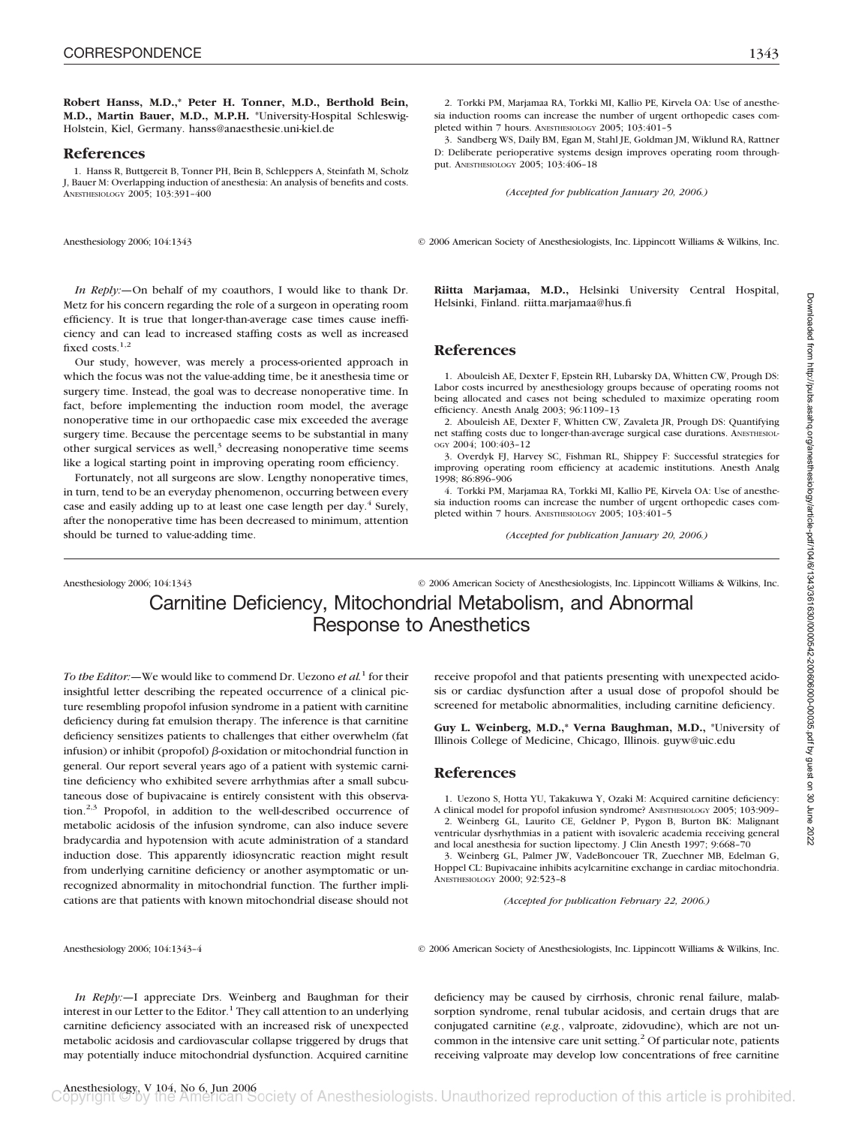**Robert Hanss, M.D.,\* Peter H. Tonner, M.D., Berthold Bein, M.D., Martin Bauer, M.D., M.P.H.** \*University-Hospital Schleswig-Holstein, Kiel, Germany. hanss@anaesthesie.uni-kiel.de

#### **References**

1. Hanss R, Buttgereit B, Tonner PH, Bein B, Schleppers A, Steinfath M, Scholz J, Bauer M: Overlapping induction of anesthesia: An analysis of benefits and costs. ANESTHESIOLOGY 2005; 103:391–400

*In Reply:—*On behalf of my coauthors, I would like to thank Dr. Metz for his concern regarding the role of a surgeon in operating room efficiency. It is true that longer-than-average case times cause inefficiency and can lead to increased staffing costs as well as increased fixed costs. $1,2$ 

Our study, however, was merely a process-oriented approach in which the focus was not the value-adding time, be it anesthesia time or surgery time. Instead, the goal was to decrease nonoperative time. In fact, before implementing the induction room model, the average nonoperative time in our orthopaedic case mix exceeded the average surgery time. Because the percentage seems to be substantial in many other surgical services as well, $3$  decreasing nonoperative time seems like a logical starting point in improving operating room efficiency.

Fortunately, not all surgeons are slow. Lengthy nonoperative times, in turn, tend to be an everyday phenomenon, occurring between every case and easily adding up to at least one case length per day.<sup>4</sup> Surely, after the nonoperative time has been decreased to minimum, attention should be turned to value-adding time.

2. Torkki PM, Marjamaa RA, Torkki MI, Kallio PE, Kirvela OA: Use of anesthesia induction rooms can increase the number of urgent orthopedic cases completed within 7 hours. ANESTHESIOLOGY 2005; 103:401–5

3. Sandberg WS, Daily BM, Egan M, Stahl JE, Goldman JM, Wiklund RA, Rattner D: Deliberate perioperative systems design improves operating room throughput. ANESTHESIOLOGY 2005; 103:406–18

*(Accepted for publication January 20, 2006.)*

Anesthesiology 2006; 104:1343 © 2006 American Society of Anesthesiologists, Inc. Lippincott Williams & Wilkins, Inc.

**Riitta Marjamaa, M.D.,** Helsinki University Central Hospital, Helsinki, Finland. riitta.marjamaa@hus.fi

#### **References**

1. Abouleish AE, Dexter F, Epstein RH, Lubarsky DA, Whitten CW, Prough DS: Labor costs incurred by anesthesiology groups because of operating rooms not being allocated and cases not being scheduled to maximize operating room efficiency. Anesth Analg 2003; 96:1109–13

2. Abouleish AE, Dexter F, Whitten CW, Zavaleta JR, Prough DS: Quantifying net staffing costs due to longer-than-average surgical case durations. ANESTHESIOL-OGY 2004; 100:403–12

3. Overdyk FJ, Harvey SC, Fishman RL, Shippey F: Successful strategies for improving operating room efficiency at academic institutions. Anesth Analg 1998; 86:896–906

4. Torkki PM, Marjamaa RA, Torkki MI, Kallio PE, Kirvela OA: Use of anesthesia induction rooms can increase the number of urgent orthopedic cases completed within 7 hours. ANESTHESIOLOGY 2005; 103:401–5

*(Accepted for publication January 20, 2006.)*

Anesthesiology 2006; 104:1343 © 2006 American Society of Anesthesiologists, Inc. Lippincott Williams & Wilkins, Inc.

Carnitine Deficiency, Mitochondrial Metabolism, and Abnormal Response to Anesthetics

*To the Editor:—*We would like to commend Dr. Uezono *et al.*<sup>1</sup> for their insightful letter describing the repeated occurrence of a clinical picture resembling propofol infusion syndrome in a patient with carnitine deficiency during fat emulsion therapy. The inference is that carnitine deficiency sensitizes patients to challenges that either overwhelm (fat infusion) or inhibit (propofol)  $\beta$ -oxidation or mitochondrial function in general. Our report several years ago of a patient with systemic carnitine deficiency who exhibited severe arrhythmias after a small subcutaneous dose of bupivacaine is entirely consistent with this observation.2,3 Propofol, in addition to the well-described occurrence of metabolic acidosis of the infusion syndrome, can also induce severe bradycardia and hypotension with acute administration of a standard induction dose. This apparently idiosyncratic reaction might result from underlying carnitine deficiency or another asymptomatic or unrecognized abnormality in mitochondrial function. The further implications are that patients with known mitochondrial disease should not

receive propofol and that patients presenting with unexpected acidosis or cardiac dysfunction after a usual dose of propofol should be screened for metabolic abnormalities, including carnitine deficiency.

**Guy L. Weinberg, M.D.,\* Verna Baughman, M.D.,** \*University of Illinois College of Medicine, Chicago, Illinois. guyw@uic.edu

#### **References**

1. Uezono S, Hotta YU, Takakuwa Y, Ozaki M: Acquired carnitine deficiency: A clinical model for propofol infusion syndrome? ANESTHESIOLOGY 2005; 103:909– 2. Weinberg GL, Laurito CE, Geldner P, Pygon B, Burton BK: Malignant ventricular dysrhythmias in a patient with isovaleric academia receiving general

and local anesthesia for suction lipectomy. J Clin Anesth 1997; 9:668–70 3. Weinberg GL, Palmer JW, VadeBoncouer TR, Zuechner MB, Edelman G,

Hoppel CL: Bupivacaine inhibits acylcarnitine exchange in cardiac mitochondria. ANESTHESIOLOGY 2000; 92:523–8

*(Accepted for publication February 22, 2006.)*

Anesthesiology 2006; 104:1343–4 © 2006 American Society of Anesthesiologists, Inc. Lippincott Williams & Wilkins, Inc.

*In Reply:—*I appreciate Drs. Weinberg and Baughman for their interest in our Letter to the Editor.<sup>1</sup> They call attention to an underlying carnitine deficiency associated with an increased risk of unexpected metabolic acidosis and cardiovascular collapse triggered by drugs that may potentially induce mitochondrial dysfunction. Acquired carnitine deficiency may be caused by cirrhosis, chronic renal failure, malabsorption syndrome, renal tubular acidosis, and certain drugs that are conjugated carnitine (*e.g.*, valproate, zidovudine), which are not uncommon in the intensive care unit setting.<sup>2</sup> Of particular note, patients receiving valproate may develop low concentrations of free carnitine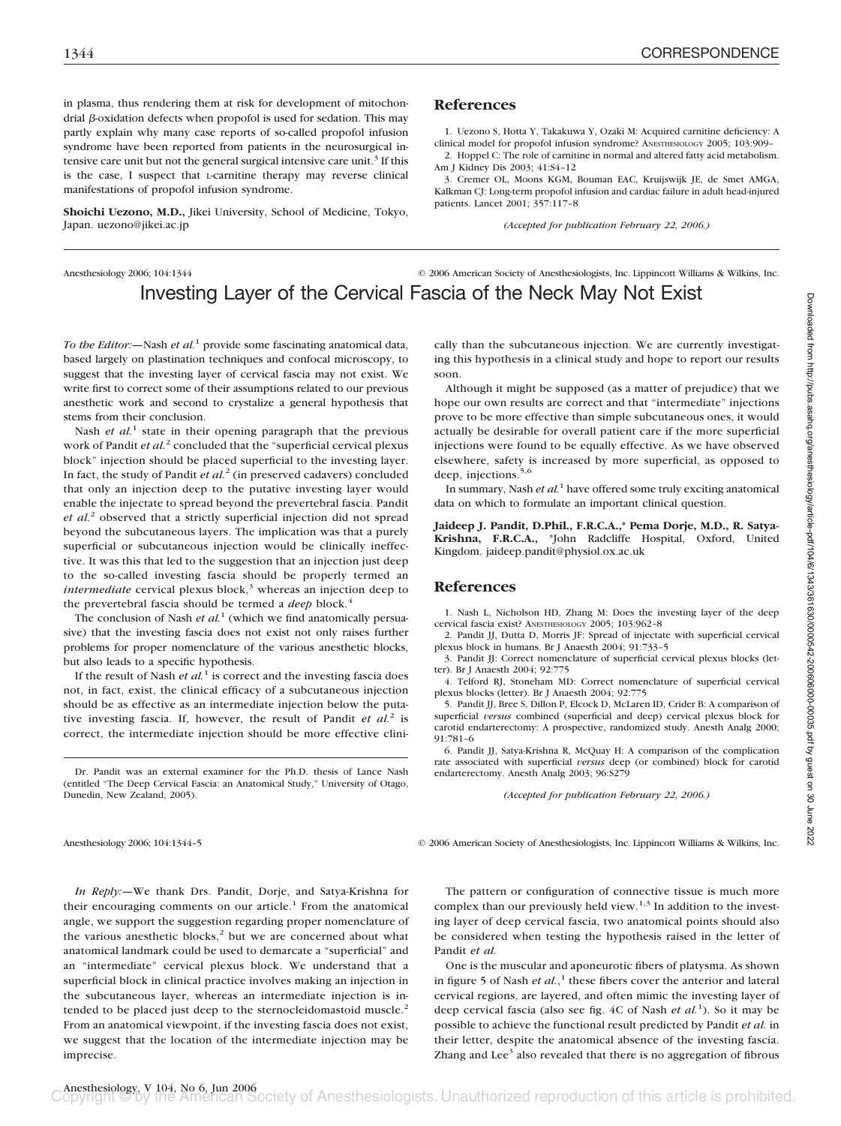in plasma, thus rendering them at risk for development of mitochondrial  $\beta$ -oxidation defects when propofol is used for sedation. This may partly explain why many case reports of so-called propofol infusion syndrome have been reported from patients in the neurosurgical intensive care unit but not the general surgical intensive care unit.<sup>3</sup> If this is the case, I suspect that L-carnitine therapy may reverse clinical manifestations of propofol infusion syndrome.

**Shoichi Uezono, M.D.,** Jikei University, School of Medicine, Tokyo, Japan. uezono@jikei.ac.jp

#### **References**

1. Uezono S, Hotta Y, Takakuwa Y, Ozaki M: Acquired carnitine deficiency: A clinical model for propofol infusion syndrome? ANESTHESIOLOGY 2005; 103:909– 2. Hoppel C: The role of carnitine in normal and altered fatty acid metabolism. Am J Kidney Dis 2003; 41:S4–12

3. Cremer OL, Moons KGM, Bouman EAC, Kruijswijk JE, de Smet AMGA, Kalkman CJ: Long-term propofol infusion and cardiac failure in adult head-injured patients. Lancet 2001; 357:117–8

*(Accepted for publication February 22, 2006.)*

### Anesthesiology 2006; 104:1344 © 2006 American Society of Anesthesiologists, Inc. Lippincott Williams & Wilkins, Inc. Investing Layer of the Cervical Fascia of the Neck May Not Exist

*To the Editor:—*Nash *et al.*<sup>1</sup> provide some fascinating anatomical data, based largely on plastination techniques and confocal microscopy, to suggest that the investing layer of cervical fascia may not exist. We write first to correct some of their assumptions related to our previous anesthetic work and second to crystalize a general hypothesis that stems from their conclusion.

Nash *et al.*<sup>1</sup> state in their opening paragraph that the previous work of Pandit et al.<sup>2</sup> concluded that the "superficial cervical plexus block" injection should be placed superficial to the investing layer. In fact, the study of Pandit *et al.*<sup>2</sup> (in preserved cadavers) concluded that only an injection deep to the putative investing layer would enable the injectate to spread beyond the prevertebral fascia. Pandit *et al.*<sup>2</sup> observed that a strictly superficial injection did not spread beyond the subcutaneous layers. The implication was that a purely superficial or subcutaneous injection would be clinically ineffective. It was this that led to the suggestion that an injection just deep to the so-called investing fascia should be properly termed an *intermediate* cervical plexus block,<sup>3</sup> whereas an injection deep to the prevertebral fascia should be termed a *deep* block.<sup>4</sup>

The conclusion of Nash *et al.*<sup>1</sup> (which we find anatomically persuasive) that the investing fascia does not exist not only raises further problems for proper nomenclature of the various anesthetic blocks, but also leads to a specific hypothesis.

If the result of Nash *et al.*<sup>1</sup> is correct and the investing fascia does not, in fact, exist, the clinical efficacy of a subcutaneous injection should be as effective as an intermediate injection below the putative investing fascia. If, however, the result of Pandit *et al.*<sup>2</sup> is correct, the intermediate injection should be more effective clini-

Dr. Pandit was an external examiner for the Ph.D. thesis of Lance Nash (entitled "The Deep Cervical Fascia: an Anatomical Study," University of Otago, Dunedin, New Zealand, 2005).

cally than the subcutaneous injection. We are currently investigating this hypothesis in a clinical study and hope to report our results soon.

Although it might be supposed (as a matter of prejudice) that we hope our own results are correct and that "intermediate" injections prove to be more effective than simple subcutaneous ones, it would actually be desirable for overall patient care if the more superficial injections were found to be equally effective. As we have observed elsewhere, safety is increased by more superficial, as opposed to deep, injections.<sup>5,6</sup>

In summary, Nash *et al.*<sup>1</sup> have offered some truly exciting anatomical data on which to formulate an important clinical question.

**Jaideep J. Pandit, D.Phil., F.R.C.A.,\* Pema Dorje, M.D., R. Satya-Krishna, F.R.C.A.,** \*John Radcliffe Hospital, Oxford, United Kingdom. jaideep.pandit@physiol.ox.ac.uk

#### **References**

1. Nash L, Nicholson HD, Zhang M: Does the investing layer of the deep cervical fascia exist? ANESTHESIOLOGY 2005; 103:962–8

2. Pandit JJ, Dutta D, Morris JF: Spread of injectate with superficial cervical plexus block in humans. Br J Anaesth 2004; 91:733–5

3. Pandit JJ: Correct nomenclature of superficial cervical plexus blocks (letter). Br J Anaesth 2004; 92:775

4. Telford RJ, Stoneham MD: Correct nomenclature of superficial cervical plexus blocks (letter). Br J Anaesth 2004; 92:775

5. Pandit JJ, Bree S, Dillon P, Elcock D, McLaren ID, Crider B: A comparison of superficial *versus* combined (superficial and deep) cervical plexus block for carotid endarterectomy: A prospective, randomized study. Anesth Analg 2000; 91:781–6

6. Pandit JJ, Satya-Krishna R, McQuay H: A comparison of the complication rate associated with superficial *versus* deep (or combined) block for carotid endarterectomy. Anesth Analg 2003; 96:S279

*(Accepted for publication February 22, 2006.)*

Anesthesiology 2006; 104:1344–5 © 2006 American Society of Anesthesiologists, Inc. Lippincott Williams & Wilkins, Inc.

*In Reply:—*We thank Drs. Pandit, Dorje, and Satya-Krishna for their encouraging comments on our article.<sup>1</sup> From the anatomical angle, we support the suggestion regarding proper nomenclature of the various anesthetic blocks,<sup>2</sup> but we are concerned about what anatomical landmark could be used to demarcate a "superficial" and an "intermediate" cervical plexus block. We understand that a superficial block in clinical practice involves making an injection in the subcutaneous layer, whereas an intermediate injection is intended to be placed just deep to the sternocleidomastoid muscle.<sup>2</sup> From an anatomical viewpoint, if the investing fascia does not exist, we suggest that the location of the intermediate injection may be imprecise.

The pattern or configuration of connective tissue is much more complex than our previously held view. $1,3$  In addition to the investing layer of deep cervical fascia, two anatomical points should also be considered when testing the hypothesis raised in the letter of Pandit *et al.*

One is the muscular and aponeurotic fibers of platysma. As shown in figure 5 of Nash *et al.*, <sup>1</sup> these fibers cover the anterior and lateral cervical regions, are layered, and often mimic the investing layer of deep cervical fascia (also see fig. 4C of Nash *et al.*<sup>1</sup> ). So it may be possible to achieve the functional result predicted by Pandit *et al.* in their letter, despite the anatomical absence of the investing fascia. Zhang and Lee<sup>3</sup> also revealed that there is no aggregation of fibrous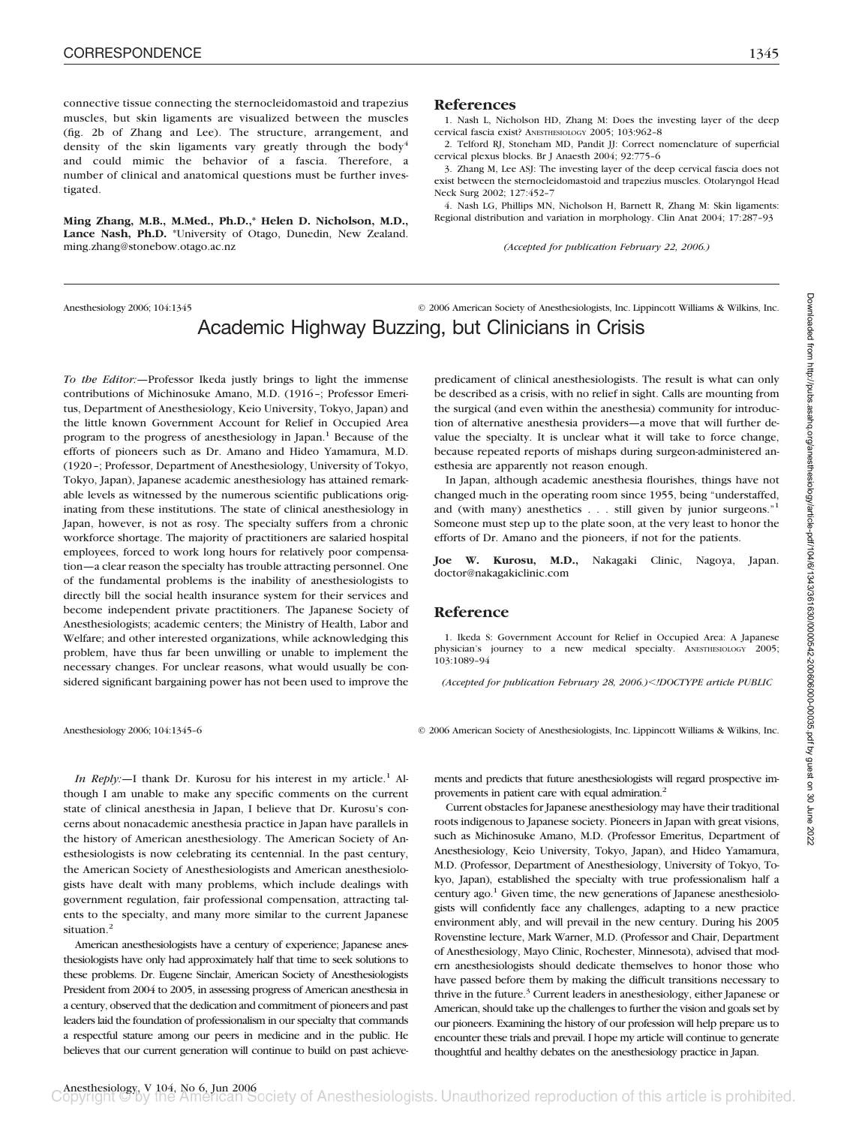connective tissue connecting the sternocleidomastoid and trapezius muscles, but skin ligaments are visualized between the muscles (fig. 2b of Zhang and Lee). The structure, arrangement, and density of the skin ligaments vary greatly through the body<sup>4</sup> and could mimic the behavior of a fascia. Therefore, a number of clinical and anatomical questions must be further investigated.

**Ming Zhang, M.B., M.Med., Ph.D.,\* Helen D. Nicholson, M.D., Lance Nash, Ph.D.** \*University of Otago, Dunedin, New Zealand. ming.zhang@stonebow.otago.ac.nz

#### **References**

1. Nash L, Nicholson HD, Zhang M: Does the investing layer of the deep cervical fascia exist? ANESTHESIOLOGY 2005; 103:962–8

2. Telford RJ, Stoneham MD, Pandit JJ: Correct nomenclature of superficial cervical plexus blocks. Br J Anaesth 2004; 92:775–6

3. Zhang M, Lee ASJ: The investing layer of the deep cervical fascia does not exist between the sternocleidomastoid and trapezius muscles. Otolaryngol Head Neck Surg 2002; 127:452–7

4. Nash LG, Phillips MN, Nicholson H, Barnett R, Zhang M: Skin ligaments: Regional distribution and variation in morphology. Clin Anat 2004; 17:287–93

*(Accepted for publication February 22, 2006.)*

Anesthesiology 2006; 104:1345 © 2006 American Society of Anesthesiologists, Inc. Lippincott Williams & Wilkins, Inc. Academic Highway Buzzing, but Clinicians in Crisis

*To the Editor:—*Professor Ikeda justly brings to light the immense contributions of Michinosuke Amano, M.D. (1916 –; Professor Emeritus, Department of Anesthesiology, Keio University, Tokyo, Japan) and the little known Government Account for Relief in Occupied Area program to the progress of anesthesiology in Japan.<sup>1</sup> Because of the efforts of pioneers such as Dr. Amano and Hideo Yamamura, M.D. (1920 –; Professor, Department of Anesthesiology, University of Tokyo, Tokyo, Japan), Japanese academic anesthesiology has attained remarkable levels as witnessed by the numerous scientific publications originating from these institutions. The state of clinical anesthesiology in Japan, however, is not as rosy. The specialty suffers from a chronic workforce shortage. The majority of practitioners are salaried hospital employees, forced to work long hours for relatively poor compensation—a clear reason the specialty has trouble attracting personnel. One of the fundamental problems is the inability of anesthesiologists to directly bill the social health insurance system for their services and become independent private practitioners. The Japanese Society of Anesthesiologists; academic centers; the Ministry of Health, Labor and Welfare; and other interested organizations, while acknowledging this problem, have thus far been unwilling or unable to implement the necessary changes. For unclear reasons, what would usually be considered significant bargaining power has not been used to improve the

*In Reply:*—I thank Dr. Kurosu for his interest in my article.<sup>1</sup> Although I am unable to make any specific comments on the current state of clinical anesthesia in Japan, I believe that Dr. Kurosu's concerns about nonacademic anesthesia practice in Japan have parallels in the history of American anesthesiology. The American Society of Anesthesiologists is now celebrating its centennial. In the past century, the American Society of Anesthesiologists and American anesthesiologists have dealt with many problems, which include dealings with government regulation, fair professional compensation, attracting talents to the specialty, and many more similar to the current Japanese situation<sup>2</sup>

American anesthesiologists have a century of experience; Japanese anesthesiologists have only had approximately half that time to seek solutions to these problems. Dr. Eugene Sinclair, American Society of Anesthesiologists President from 2004 to 2005, in assessing progress of American anesthesia in a century, observed that the dedication and commitment of pioneers and past leaders laid the foundation of professionalism in our specialty that commands a respectful stature among our peers in medicine and in the public. He believes that our current generation will continue to build on past achievepredicament of clinical anesthesiologists. The result is what can only be described as a crisis, with no relief in sight. Calls are mounting from the surgical (and even within the anesthesia) community for introduction of alternative anesthesia providers—a move that will further devalue the specialty. It is unclear what it will take to force change, because repeated reports of mishaps during surgeon-administered anesthesia are apparently not reason enough.

In Japan, although academic anesthesia flourishes, things have not changed much in the operating room since 1955, being "understaffed, and (with many) anesthetics . . . still given by junior surgeons."<sup>1</sup> Someone must step up to the plate soon, at the very least to honor the efforts of Dr. Amano and the pioneers, if not for the patients.

**Joe W. Kurosu, M.D.,** Nakagaki Clinic, Nagoya, Japan. doctor@nakagakiclinic.com

#### **Reference**

1. Ikeda S: Government Account for Relief in Occupied Area: A Japanese physician's journey to a new medical specialty. ANESTHESIOLOGY 2005; 103:1089–94

*(Accepted for publication February 28, 2006.)!DOCTYPE article PUBLIC*

Anesthesiology 2006; 104:1345-6 © 2006 American Society of Anesthesiologists, Inc. Lippincott Williams & Wilkins, Inc.

ments and predicts that future anesthesiologists will regard prospective improvements in patient care with equal admiration.<sup>2</sup>

Current obstacles for Japanese anesthesiology may have their traditional roots indigenous to Japanese society. Pioneers in Japan with great visions, such as Michinosuke Amano, M.D. (Professor Emeritus, Department of Anesthesiology, Keio University, Tokyo, Japan), and Hideo Yamamura, M.D. (Professor, Department of Anesthesiology, University of Tokyo, Tokyo, Japan), established the specialty with true professionalism half a century ago. $<sup>1</sup>$  Given time, the new generations of Japanese anesthesiolo-</sup> gists will confidently face any challenges, adapting to a new practice environment ably, and will prevail in the new century. During his 2005 Rovenstine lecture, Mark Warner, M.D. (Professor and Chair, Department of Anesthesiology, Mayo Clinic, Rochester, Minnesota), advised that modern anesthesiologists should dedicate themselves to honor those who have passed before them by making the difficult transitions necessary to thrive in the future.<sup>3</sup> Current leaders in anesthesiology, either Japanese or American, should take up the challenges to further the vision and goals set by our pioneers. Examining the history of our profession will help prepare us to encounter these trials and prevail. I hope my article will continue to generate thoughtful and healthy debates on the anesthesiology practice in Japan.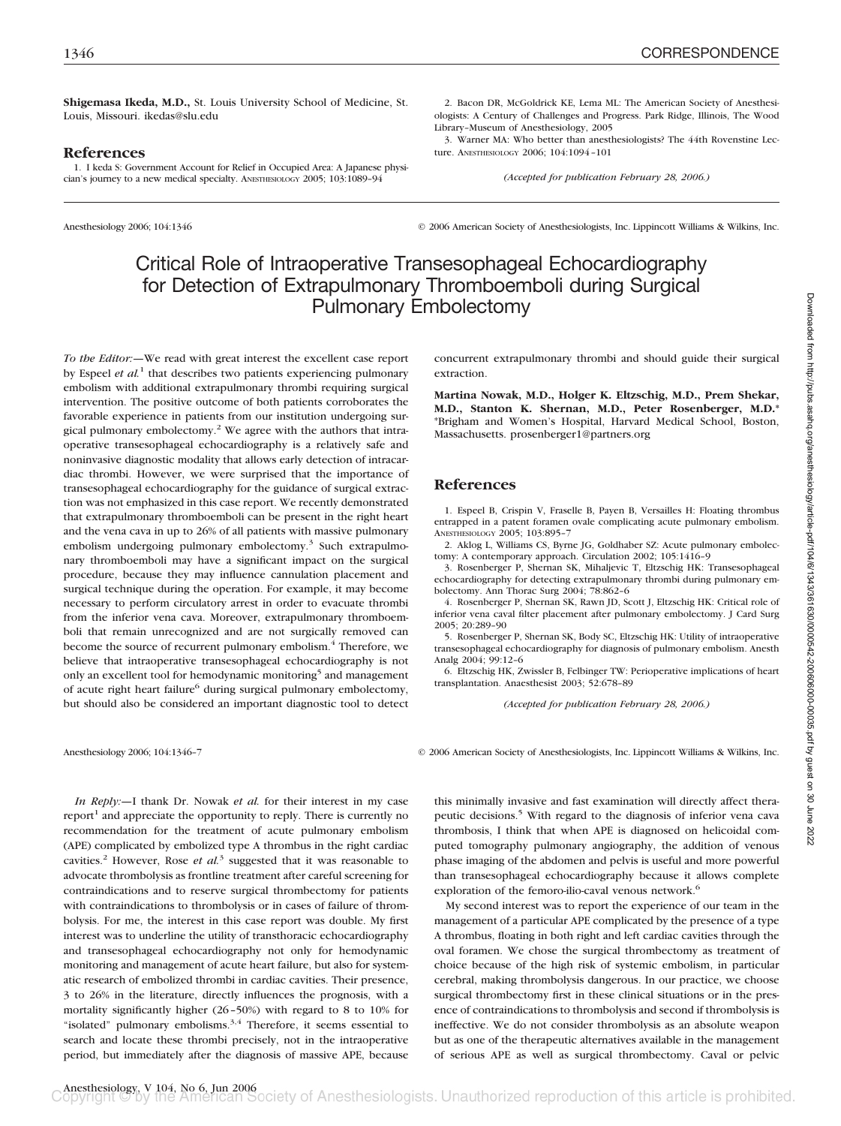**Shigemasa Ikeda, M.D.,** St. Louis University School of Medicine, St. Louis, Missouri. ikedas@slu.edu

#### **References**

1. I keda S: Government Account for Relief in Occupied Area: A Japanese physician's journey to a new medical specialty. ANESTHESIOLOGY 2005; 103:1089–94

2. Bacon DR, McGoldrick KE, Lema ML: The American Society of Anesthesiologists: A Century of Challenges and Progress. Park Ridge, Illinois, The Wood Library–Museum of Anesthesiology, 2005

3. Warner MA: Who better than anesthesiologists? The 44th Rovenstine Lecture. ANESTHESIOLOGY 2006; 104:1094 –101

*(Accepted for publication February 28, 2006.)*

Anesthesiology 2006; 104:1346  $\degree$  2006 American Society of Anesthesiologists, Inc. Lippincott Williams & Wilkins, Inc.

### Critical Role of Intraoperative Transesophageal Echocardiography for Detection of Extrapulmonary Thromboemboli during Surgical Pulmonary Embolectomy

*To the Editor:—*We read with great interest the excellent case report by Espeel *et al.*<sup>1</sup> that describes two patients experiencing pulmonary embolism with additional extrapulmonary thrombi requiring surgical intervention. The positive outcome of both patients corroborates the favorable experience in patients from our institution undergoing surgical pulmonary embolectomy.<sup>2</sup> We agree with the authors that intraoperative transesophageal echocardiography is a relatively safe and noninvasive diagnostic modality that allows early detection of intracardiac thrombi. However, we were surprised that the importance of transesophageal echocardiography for the guidance of surgical extraction was not emphasized in this case report. We recently demonstrated that extrapulmonary thromboemboli can be present in the right heart and the vena cava in up to 26% of all patients with massive pulmonary embolism undergoing pulmonary embolectomy.<sup>3</sup> Such extrapulmonary thromboemboli may have a significant impact on the surgical procedure, because they may influence cannulation placement and surgical technique during the operation. For example, it may become necessary to perform circulatory arrest in order to evacuate thrombi from the inferior vena cava. Moreover, extrapulmonary thromboemboli that remain unrecognized and are not surgically removed can become the source of recurrent pulmonary embolism.<sup>4</sup> Therefore, we believe that intraoperative transesophageal echocardiography is not only an excellent tool for hemodynamic monitoring<sup>5</sup> and management of acute right heart failure<sup>6</sup> during surgical pulmonary embolectomy, but should also be considered an important diagnostic tool to detect

*In Reply:—*I thank Dr. Nowak *et al.* for their interest in my case  $report<sup>1</sup>$  and appreciate the opportunity to reply. There is currently no recommendation for the treatment of acute pulmonary embolism (APE) complicated by embolized type A thrombus in the right cardiac cavities.2 However, Rose *et al.*<sup>3</sup> suggested that it was reasonable to advocate thrombolysis as frontline treatment after careful screening for contraindications and to reserve surgical thrombectomy for patients with contraindications to thrombolysis or in cases of failure of thrombolysis. For me, the interest in this case report was double. My first interest was to underline the utility of transthoracic echocardiography and transesophageal echocardiography not only for hemodynamic monitoring and management of acute heart failure, but also for systematic research of embolized thrombi in cardiac cavities. Their presence, 3 to 26% in the literature, directly influences the prognosis, with a mortality significantly higher (26 –50%) with regard to 8 to 10% for "isolated" pulmonary embolisms.<sup>3,4</sup> Therefore, it seems essential to search and locate these thrombi precisely, not in the intraoperative period, but immediately after the diagnosis of massive APE, because

Downloaded from http://pubs.asahq.org/anesthesiology/article-pdf/104/6/1343/361630/000022-200606000-00035.pdf by guest on 30 June 2022 Downloaded from http://pubs.asahq.org/anesthesiology/article-pdf/104/6/1343/361630/0000542-200606000-00035.pdf by guest on 30 June 2022

concurrent extrapulmonary thrombi and should guide their surgical extraction.

**Martina Nowak, M.D., Holger K. Eltzschig, M.D., Prem Shekar, M.D., Stanton K. Shernan, M.D., Peter Rosenberger, M.D.\*** \*Brigham and Women's Hospital, Harvard Medical School, Boston, Massachusetts. prosenberger1@partners.org

#### **References**

1. Espeel B, Crispin V, Fraselle B, Payen B, Versailles H: Floating thrombus entrapped in a patent foramen ovale complicating acute pulmonary embolism. ANESTHESIOLOGY 2005; 103:895–7

2. Aklog L, Williams CS, Byrne JG, Goldhaber SZ: Acute pulmonary embolectomy: A contemporary approach. Circulation 2002; 105:1416–9

3. Rosenberger P, Shernan SK, Mihaljevic T, Eltzschig HK: Transesophageal echocardiography for detecting extrapulmonary thrombi during pulmonary embolectomy. Ann Thorac Surg 2004; 78:862–6

4. Rosenberger P, Shernan SK, Rawn JD, Scott J, Eltzschig HK: Critical role of inferior vena caval filter placement after pulmonary embolectomy. J Card Surg 2005; 20:289–90

5. Rosenberger P, Shernan SK, Body SC, Eltzschig HK: Utility of intraoperative transesophageal echocardiography for diagnosis of pulmonary embolism. Anesth Analg 2004; 99:12–6

6. Eltzschig HK, Zwissler B, Felbinger TW: Perioperative implications of heart transplantation. Anaesthesist 2003; 52:678–89

*(Accepted for publication February 28, 2006.)*

Anesthesiology 2006; 104:1346-7 © 2006 American Society of Anesthesiologists, Inc. Lippincott Williams & Wilkins, Inc.

this minimally invasive and fast examination will directly affect therapeutic decisions.<sup>5</sup> With regard to the diagnosis of inferior vena cava thrombosis, I think that when APE is diagnosed on helicoidal computed tomography pulmonary angiography, the addition of venous phase imaging of the abdomen and pelvis is useful and more powerful than transesophageal echocardiography because it allows complete exploration of the femoro-ilio-caval venous network.<sup>6</sup>

My second interest was to report the experience of our team in the management of a particular APE complicated by the presence of a type A thrombus, floating in both right and left cardiac cavities through the oval foramen. We chose the surgical thrombectomy as treatment of choice because of the high risk of systemic embolism, in particular cerebral, making thrombolysis dangerous. In our practice, we choose surgical thrombectomy first in these clinical situations or in the presence of contraindications to thrombolysis and second if thrombolysis is ineffective. We do not consider thrombolysis as an absolute weapon but as one of the therapeutic alternatives available in the management of serious APE as well as surgical thrombectomy. Caval or pelvic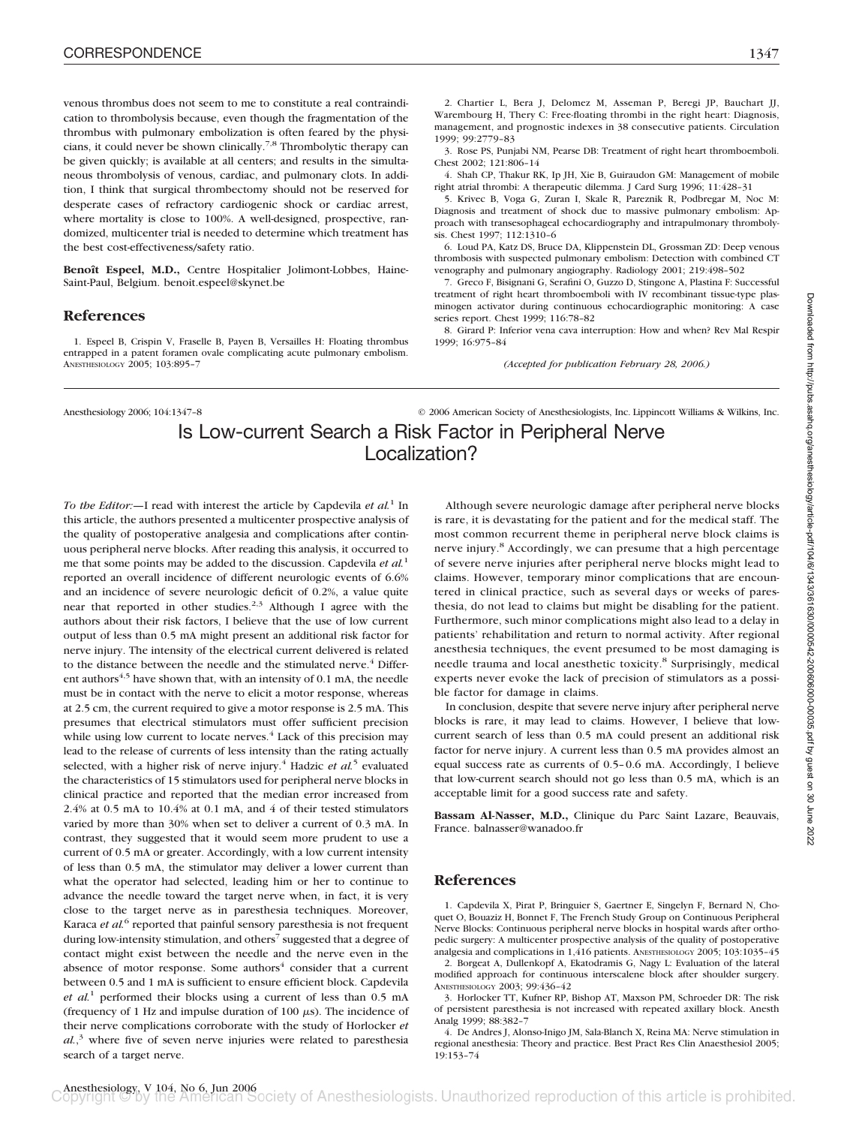venous thrombus does not seem to me to constitute a real contraindication to thrombolysis because, even though the fragmentation of the thrombus with pulmonary embolization is often feared by the physicians, it could never be shown clinically.<sup>7,8</sup> Thrombolytic therapy can be given quickly; is available at all centers; and results in the simultaneous thrombolysis of venous, cardiac, and pulmonary clots. In addition, I think that surgical thrombectomy should not be reserved for desperate cases of refractory cardiogenic shock or cardiac arrest, where mortality is close to 100%. A well-designed, prospective, randomized, multicenter trial is needed to determine which treatment has the best cost-effectiveness/safety ratio.

Benoît Espeel, M.D., Centre Hospitalier Jolimont-Lobbes, Haine-Saint-Paul, Belgium. benoit.espeel@skynet.be

#### **References**

1. Espeel B, Crispin V, Fraselle B, Payen B, Versailles H: Floating thrombus entrapped in a patent foramen ovale complicating acute pulmonary embolism. ANESTHESIOLOGY 2005; 103:895–7

2. Chartier L, Bera J, Delomez M, Asseman P, Beregi JP, Bauchart JJ, Warembourg H, Thery C: Free-floating thrombi in the right heart: Diagnosis, management, and prognostic indexes in 38 consecutive patients. Circulation 1999; 99:2779–83

3. Rose PS, Punjabi NM, Pearse DB: Treatment of right heart thromboemboli. Chest 2002; 121:806–14

4. Shah CP, Thakur RK, Ip JH, Xie B, Guiraudon GM: Management of mobile right atrial thrombi: A therapeutic dilemma. J Card Surg 1996; 11:428–31

5. Krivec B, Voga G, Zuran I, Skale R, Pareznik R, Podbregar M, Noc M: Diagnosis and treatment of shock due to massive pulmonary embolism: Approach with transesophageal echocardiography and intrapulmonary thrombolysis. Chest 1997; 112:1310–6

6. Loud PA, Katz DS, Bruce DA, Klippenstein DL, Grossman ZD: Deep venous thrombosis with suspected pulmonary embolism: Detection with combined CT venography and pulmonary angiography. Radiology 2001; 219:498–502

7. Greco F, Bisignani G, Serafini O, Guzzo D, Stingone A, Plastina F: Successful treatment of right heart thromboemboli with IV recombinant tissue-type plasminogen activator during continuous echocardiographic monitoring: A case series report. Chest 1999; 116:78–82

8. Girard P: Inferior vena cava interruption: How and when? Rev Mal Respir 1999; 16:975–84

*(Accepted for publication February 28, 2006.)*

Anesthesiology 2006; 104:1347–8 © 2006 American Society of Anesthesiologists, Inc. Lippincott Williams & Wilkins, Inc.

### Is Low-current Search a Risk Factor in Peripheral Nerve Localization?

*To the Editor:—*I read with interest the article by Capdevila *et al.*<sup>1</sup> In this article, the authors presented a multicenter prospective analysis of the quality of postoperative analgesia and complications after continuous peripheral nerve blocks. After reading this analysis, it occurred to me that some points may be added to the discussion. Capdevila *et al.*<sup>1</sup> reported an overall incidence of different neurologic events of 6.6% and an incidence of severe neurologic deficit of 0.2%, a value quite near that reported in other studies.2,3 Although I agree with the authors about their risk factors, I believe that the use of low current output of less than 0.5 mA might present an additional risk factor for nerve injury. The intensity of the electrical current delivered is related to the distance between the needle and the stimulated nerve.<sup>4</sup> Different authors $4,5$  have shown that, with an intensity of 0.1 mA, the needle must be in contact with the nerve to elicit a motor response, whereas at 2.5 cm, the current required to give a motor response is 2.5 mA. This presumes that electrical stimulators must offer sufficient precision while using low current to locate nerves.<sup>4</sup> Lack of this precision may lead to the release of currents of less intensity than the rating actually selected, with a higher risk of nerve injury.<sup>4</sup> Hadzic *et al.*<sup>5</sup> evaluated the characteristics of 15 stimulators used for peripheral nerve blocks in clinical practice and reported that the median error increased from 2.4% at 0.5 mA to 10.4% at 0.1 mA, and 4 of their tested stimulators varied by more than 30% when set to deliver a current of 0.3 mA. In contrast, they suggested that it would seem more prudent to use a current of 0.5 mA or greater. Accordingly, with a low current intensity of less than 0.5 mA, the stimulator may deliver a lower current than what the operator had selected, leading him or her to continue to advance the needle toward the target nerve when, in fact, it is very close to the target nerve as in paresthesia techniques. Moreover, Karaca *et al.*<sup>6</sup> reported that painful sensory paresthesia is not frequent during low-intensity stimulation, and others<sup>7</sup> suggested that a degree of contact might exist between the needle and the nerve even in the absence of motor response. Some authors $4$  consider that a current between 0.5 and 1 mA is sufficient to ensure efficient block. Capdevila *et al.*<sup>1</sup> performed their blocks using a current of less than 0.5 mA (frequency of 1 Hz and impulse duration of 100  $\mu$ s). The incidence of their nerve complications corroborate with the study of Horlocker *et al.*, <sup>3</sup> where five of seven nerve injuries were related to paresthesia search of a target nerve.

Although severe neurologic damage after peripheral nerve blocks is rare, it is devastating for the patient and for the medical staff. The most common recurrent theme in peripheral nerve block claims is nerve injury.<sup>8</sup> Accordingly, we can presume that a high percentage of severe nerve injuries after peripheral nerve blocks might lead to claims. However, temporary minor complications that are encountered in clinical practice, such as several days or weeks of paresthesia, do not lead to claims but might be disabling for the patient. Furthermore, such minor complications might also lead to a delay in patients' rehabilitation and return to normal activity. After regional anesthesia techniques, the event presumed to be most damaging is needle trauma and local anesthetic toxicity.<sup>8</sup> Surprisingly, medical experts never evoke the lack of precision of stimulators as a possible factor for damage in claims.

In conclusion, despite that severe nerve injury after peripheral nerve blocks is rare, it may lead to claims. However, I believe that lowcurrent search of less than 0.5 mA could present an additional risk factor for nerve injury. A current less than 0.5 mA provides almost an equal success rate as currents of 0.5– 0.6 mA. Accordingly, I believe that low-current search should not go less than 0.5 mA, which is an acceptable limit for a good success rate and safety.

**Bassam Al-Nasser, M.D.,** Clinique du Parc Saint Lazare, Beauvais, France. balnasser@wanadoo.fr

#### **References**

1. Capdevila X, Pirat P, Bringuier S, Gaertner E, Singelyn F, Bernard N, Choquet O. Bouaziz H. Bonnet F, The French Study Group on Continuous Peripheral Nerve Blocks: Continuous peripheral nerve blocks in hospital wards after orthopedic surgery: A multicenter prospective analysis of the quality of postoperative analgesia and complications in 1,416 patients. ANESTHESIOLOGY 2005; 103:1035–45

2. Borgeat A, Dullenkopf A, Ekatodramis G, Nagy L: Evaluation of the lateral modified approach for continuous interscalene block after shoulder surgery. ANESTHESIOLOGY 2003; 99:436–42

3. Horlocker TT, Kufner RP, Bishop AT, Maxson PM, Schroeder DR: The risk of persistent paresthesia is not increased with repeated axillary block. Anesth Analg 1999; 88:382–7

4. De Andres J, Alonso-Inigo JM, Sala-Blanch X, Reina MA: Nerve stimulation in regional anesthesia: Theory and practice. Best Pract Res Clin Anaesthesiol 2005; 19:153–74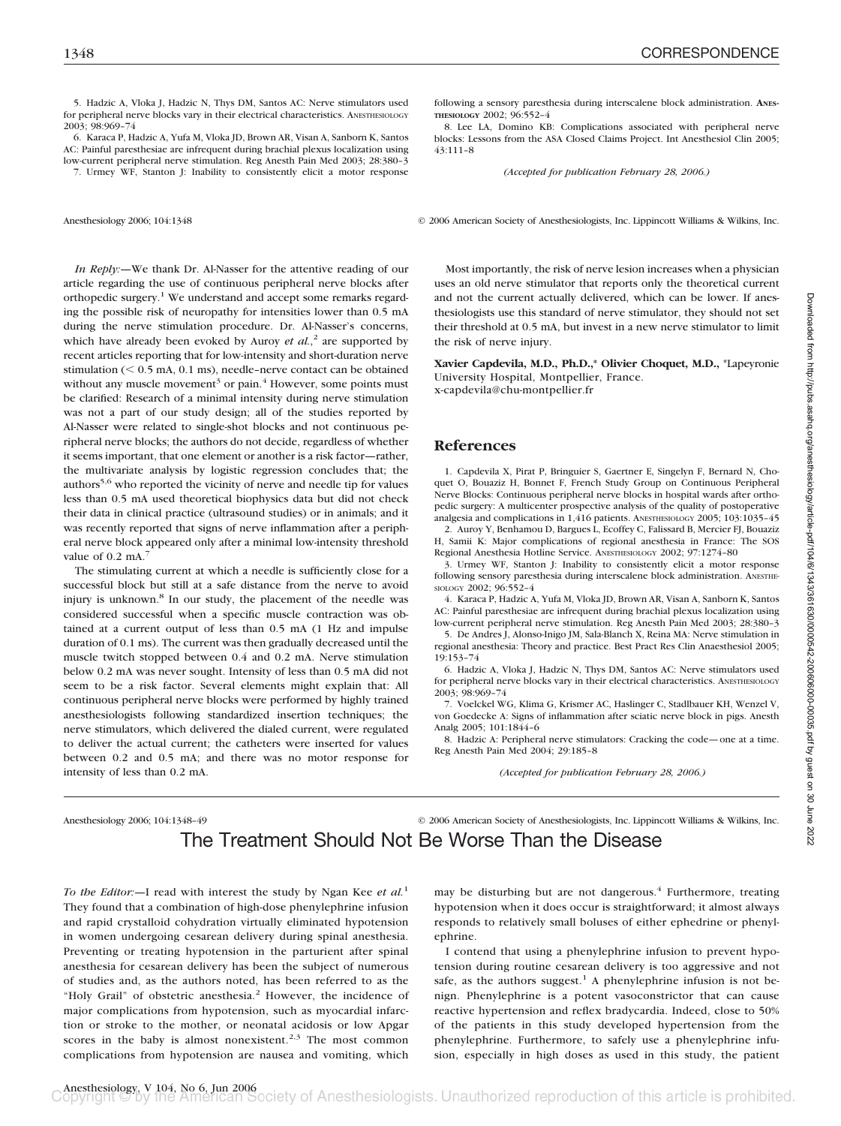5. Hadzic A, Vloka J, Hadzic N, Thys DM, Santos AC: Nerve stimulators used for peripheral nerve blocks vary in their electrical characteristics. ANESTHESIOLOGY 2003; 98:969–74

6. Karaca P, Hadzic A, Yufa M, Vloka JD, Brown AR, Visan A, Sanborn K, Santos AC: Painful paresthesiae are infrequent during brachial plexus localization using low-current peripheral nerve stimulation. Reg Anesth Pain Med 2003; 28:380–3 7. Urmey WF, Stanton J: Inability to consistently elicit a motor response

*In Reply:—*We thank Dr. Al-Nasser for the attentive reading of our article regarding the use of continuous peripheral nerve blocks after orthopedic surgery.<sup>1</sup> We understand and accept some remarks regarding the possible risk of neuropathy for intensities lower than 0.5 mA during the nerve stimulation procedure. Dr. Al-Nasser's concerns, which have already been evoked by Auroy *et al.*,<sup>2</sup> are supported by recent articles reporting that for low-intensity and short-duration nerve stimulation  $(< 0.5$  mA,  $(0.1 \text{ ms})$ , needle-nerve contact can be obtained without any muscle movement<sup>3</sup> or pain. $4$  However, some points must be clarified: Research of a minimal intensity during nerve stimulation was not a part of our study design; all of the studies reported by Al-Nasser were related to single-shot blocks and not continuous peripheral nerve blocks; the authors do not decide, regardless of whether it seems important, that one element or another is a risk factor—rather, the multivariate analysis by logistic regression concludes that; the authors<sup>5,6</sup> who reported the vicinity of nerve and needle tip for values less than 0.5 mA used theoretical biophysics data but did not check their data in clinical practice (ultrasound studies) or in animals; and it was recently reported that signs of nerve inflammation after a peripheral nerve block appeared only after a minimal low-intensity threshold value of  $0.2 \text{ mA}^7$ 

The stimulating current at which a needle is sufficiently close for a successful block but still at a safe distance from the nerve to avoid injury is unknown.<sup>8</sup> In our study, the placement of the needle was considered successful when a specific muscle contraction was obtained at a current output of less than 0.5 mA (1 Hz and impulse duration of 0.1 ms). The current was then gradually decreased until the muscle twitch stopped between 0.4 and 0.2 mA. Nerve stimulation below 0.2 mA was never sought. Intensity of less than 0.5 mA did not seem to be a risk factor. Several elements might explain that: All continuous peripheral nerve blocks were performed by highly trained anesthesiologists following standardized insertion techniques; the nerve stimulators, which delivered the dialed current, were regulated to deliver the actual current; the catheters were inserted for values between 0.2 and 0.5 mA; and there was no motor response for intensity of less than 0.2 mA.

following a sensory paresthesia during interscalene block administration. **ANES-THESIOLOGY** 2002; 96:552–4

8. Lee LA, Domino KB: Complications associated with peripheral nerve blocks: Lessons from the ASA Closed Claims Project. Int Anesthesiol Clin 2005; 43:111–8

*(Accepted for publication February 28, 2006.)*

Anesthesiology 2006; 104:1348 © 2006 American Society of Anesthesiologists, Inc. Lippincott Williams & Wilkins, Inc.

Most importantly, the risk of nerve lesion increases when a physician uses an old nerve stimulator that reports only the theoretical current and not the current actually delivered, which can be lower. If anesthesiologists use this standard of nerve stimulator, they should not set their threshold at 0.5 mA, but invest in a new nerve stimulator to limit the risk of nerve injury.

**Xavier Capdevila, M.D., Ph.D.,\* Olivier Choquet, M.D.,** \*Lapeyronie University Hospital, Montpellier, France. x-capdevila@chu-montpellier.fr

#### **References**

1. Capdevila X, Pirat P, Bringuier S, Gaertner E, Singelyn F, Bernard N, Choquet O, Bouaziz H, Bonnet F, French Study Group on Continuous Peripheral Nerve Blocks: Continuous peripheral nerve blocks in hospital wards after orthopedic surgery: A multicenter prospective analysis of the quality of postoperative analgesia and complications in 1,416 patients. ANESTHESIOLOGY 2005; 103:1035–45

2. Auroy Y, Benhamou D, Bargues L, Ecoffey C, Falissard B, Mercier FJ, Bouaziz H, Samii K: Major complications of regional anesthesia in France: The SOS Regional Anesthesia Hotline Service. ANESTHESIOLOGY 2002; 97:1274–80

3. Urmey WF, Stanton J: Inability to consistently elicit a motor response following sensory paresthesia during interscalene block administration. ANESTHE-SIOLOGY 2002; 96:552–4

4. Karaca P, Hadzic A, Yufa M, Vloka JD, Brown AR, Visan A, Sanborn K, Santos AC: Painful paresthesiae are infrequent during brachial plexus localization using low-current peripheral nerve stimulation. Reg Anesth Pain Med 2003; 28:380–3 5. De Andres J, Alonso-Inigo JM, Sala-Blanch X, Reina MA: Nerve stimulation in

regional anesthesia: Theory and practice. Best Pract Res Clin Anaesthesiol 2005; 19:153–74

6. Hadzic A, Vloka J, Hadzic N, Thys DM, Santos AC: Nerve stimulators used for peripheral nerve blocks vary in their electrical characteristics. ANESTHESIOLOGY 2003; 98:969–74

7. Voelckel WG, Klima G, Krismer AC, Haslinger C, Stadlbauer KH, Wenzel V, von Goedecke A: Signs of inflammation after sciatic nerve block in pigs. Anesth Analg 2005; 101:1844–6

8. Hadzic A: Peripheral nerve stimulators: Cracking the code— one at a time. Reg Anesth Pain Med 2004; 29:185–8

*(Accepted for publication February 28, 2006.)*

Anesthesiology 2006; 104:1348–49 © 2006 American Society of Anesthesiologists, Inc. Lippincott Williams & Wilkins, Inc.

The Treatment Should Not Be Worse Than the Disease

*To the Editor:—*I read with interest the study by Ngan Kee *et al.*<sup>1</sup> They found that a combination of high-dose phenylephrine infusion and rapid crystalloid cohydration virtually eliminated hypotension in women undergoing cesarean delivery during spinal anesthesia. Preventing or treating hypotension in the parturient after spinal anesthesia for cesarean delivery has been the subject of numerous of studies and, as the authors noted, has been referred to as the "Holy Grail" of obstetric anesthesia.<sup>2</sup> However, the incidence of major complications from hypotension, such as myocardial infarction or stroke to the mother, or neonatal acidosis or low Apgar scores in the baby is almost nonexistent. $2,3$  The most common complications from hypotension are nausea and vomiting, which

may be disturbing but are not dangerous.<sup>4</sup> Furthermore, treating hypotension when it does occur is straightforward; it almost always responds to relatively small boluses of either ephedrine or phenylephrine.

I contend that using a phenylephrine infusion to prevent hypotension during routine cesarean delivery is too aggressive and not safe, as the authors suggest.<sup>1</sup> A phenylephrine infusion is not benign. Phenylephrine is a potent vasoconstrictor that can cause reactive hypertension and reflex bradycardia. Indeed, close to 50% of the patients in this study developed hypertension from the phenylephrine. Furthermore, to safely use a phenylephrine infusion, especially in high doses as used in this study, the patient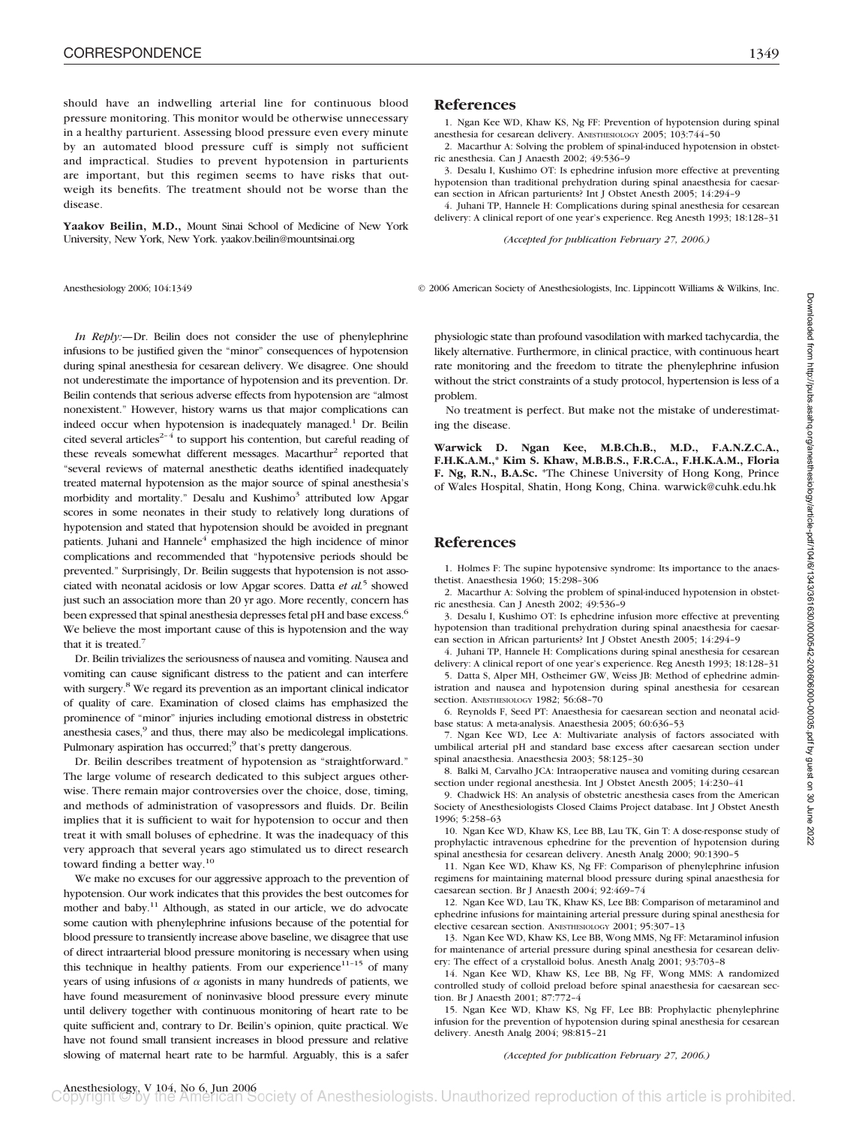should have an indwelling arterial line for continuous blood pressure monitoring. This monitor would be otherwise unnecessary in a healthy parturient. Assessing blood pressure even every minute by an automated blood pressure cuff is simply not sufficient and impractical. Studies to prevent hypotension in parturients are important, but this regimen seems to have risks that outweigh its benefits. The treatment should not be worse than the disease.

**Yaakov Beilin, M.D.,** Mount Sinai School of Medicine of New York University, New York, New York. yaakov.beilin@mountsinai.org

**References**

1. Ngan Kee WD, Khaw KS, Ng FF: Prevention of hypotension during spinal anesthesia for cesarean delivery. ANESTHESIOLOGY 2005; 103:744–50

2. Macarthur A: Solving the problem of spinal-induced hypotension in obstetric anesthesia. Can J Anaesth 2002; 49:536–9

3. Desalu I, Kushimo OT: Is ephedrine infusion more effective at preventing hypotension than traditional prehydration during spinal anaesthesia for caesarean section in African parturients? Int J Obstet Anesth 2005; 14:294–9

4. Juhani TP, Hannele H: Complications during spinal anesthesia for cesarean delivery: A clinical report of one year's experience. Reg Anesth 1993; 18:128–31

*(Accepted for publication February 27, 2006.)*

Anesthesiology 2006; 104:1349 © 2006 American Society of Anesthesiologists, Inc. Lippincott Williams & Wilkins, Inc.

*In Reply:—*Dr. Beilin does not consider the use of phenylephrine infusions to be justified given the "minor" consequences of hypotension during spinal anesthesia for cesarean delivery. We disagree. One should not underestimate the importance of hypotension and its prevention. Dr. Beilin contends that serious adverse effects from hypotension are "almost nonexistent." However, history warns us that major complications can indeed occur when hypotension is inadequately managed.<sup>1</sup> Dr. Beilin cited several articles<sup>2-4</sup> to support his contention, but careful reading of these reveals somewhat different messages. Macarthur<sup>2</sup> reported that "several reviews of maternal anesthetic deaths identified inadequately treated maternal hypotension as the major source of spinal anesthesia's morbidity and mortality." Desalu and Kushimo<sup>3</sup> attributed low Apgar scores in some neonates in their study to relatively long durations of hypotension and stated that hypotension should be avoided in pregnant patients. Juhani and Hannele<sup>4</sup> emphasized the high incidence of minor complications and recommended that "hypotensive periods should be prevented." Surprisingly, Dr. Beilin suggests that hypotension is not associated with neonatal acidosis or low Apgar scores. Datta *et al.*<sup>5</sup> showed just such an association more than 20 yr ago. More recently, concern has been expressed that spinal anesthesia depresses fetal pH and base excess.<sup>6</sup> We believe the most important cause of this is hypotension and the way that it is treated. $7$ 

Dr. Beilin trivializes the seriousness of nausea and vomiting. Nausea and vomiting can cause significant distress to the patient and can interfere with surgery.8 We regard its prevention as an important clinical indicator of quality of care. Examination of closed claims has emphasized the prominence of "minor" injuries including emotional distress in obstetric anesthesia cases,<sup>9</sup> and thus, there may also be medicolegal implications. Pulmonary aspiration has occurred;<sup>9</sup> that's pretty dangerous.

Dr. Beilin describes treatment of hypotension as "straightforward." The large volume of research dedicated to this subject argues otherwise. There remain major controversies over the choice, dose, timing, and methods of administration of vasopressors and fluids. Dr. Beilin implies that it is sufficient to wait for hypotension to occur and then treat it with small boluses of ephedrine. It was the inadequacy of this very approach that several years ago stimulated us to direct research toward finding a better way.10

We make no excuses for our aggressive approach to the prevention of hypotension. Our work indicates that this provides the best outcomes for mother and baby.<sup>11</sup> Although, as stated in our article, we do advocate some caution with phenylephrine infusions because of the potential for blood pressure to transiently increase above baseline, we disagree that use of direct intraarterial blood pressure monitoring is necessary when using this technique in healthy patients. From our experience<sup>11-15</sup> of many years of using infusions of  $\alpha$  agonists in many hundreds of patients, we have found measurement of noninvasive blood pressure every minute until delivery together with continuous monitoring of heart rate to be quite sufficient and, contrary to Dr. Beilin's opinion, quite practical. We have not found small transient increases in blood pressure and relative slowing of maternal heart rate to be harmful. Arguably, this is a safer

physiologic state than profound vasodilation with marked tachycardia, the likely alternative. Furthermore, in clinical practice, with continuous heart rate monitoring and the freedom to titrate the phenylephrine infusion without the strict constraints of a study protocol, hypertension is less of a problem.

No treatment is perfect. But make not the mistake of underestimating the disease.

**Warwick D. Ngan Kee, M.B.Ch.B., M.D., F.A.N.Z.C.A., F.H.K.A.M.,\* Kim S. Khaw, M.B.B.S., F.R.C.A., F.H.K.A.M., Floria F. Ng, R.N., B.A.Sc.** \*The Chinese University of Hong Kong, Prince of Wales Hospital, Shatin, Hong Kong, China. warwick@cuhk.edu.hk

#### **References**

Anesthesiology, V 104, No 6, Jun 2006<br> **Copyright** C by the American Society of Anesthesiologists. Unauthorized reproduction of this article is prohibited.

1. Holmes F: The supine hypotensive syndrome: Its importance to the anaesthetist. Anaesthesia 1960; 15:298–306

2. Macarthur A: Solving the problem of spinal-induced hypotension in obstetric anesthesia. Can J Anesth 2002; 49:536–9

3. Desalu I, Kushimo OT: Is ephedrine infusion more effective at preventing hypotension than traditional prehydration during spinal anaesthesia for caesarean section in African parturients? Int J Obstet Anesth 2005; 14:294–9

4. Juhani TP, Hannele H: Complications during spinal anesthesia for cesarean delivery: A clinical report of one year's experience. Reg Anesth 1993; 18:128–31

5. Datta S, Alper MH, Ostheimer GW, Weiss JB: Method of ephedrine administration and nausea and hypotension during spinal anesthesia for cesarean section. ANESTHESIOLOGY 1982; 56:68–70

6. Reynolds F, Seed PT: Anaesthesia for caesarean section and neonatal acidbase status: A meta-analysis. Anaesthesia 2005; 60:636–53

7. Ngan Kee WD, Lee A: Multivariate analysis of factors associated with umbilical arterial pH and standard base excess after caesarean section under spinal anaesthesia. Anaesthesia 2003; 58:125–30

8. Balki M, Carvalho JCA: Intraoperative nausea and vomiting during cesarean section under regional anesthesia. Int J Obstet Anesth 2005; 14:230–41

9. Chadwick HS: An analysis of obstetric anesthesia cases from the American Society of Anesthesiologists Closed Claims Project database. Int J Obstet Anesth 1996; 5:258–63

10. Ngan Kee WD, Khaw KS, Lee BB, Lau TK, Gin T: A dose-response study of prophylactic intravenous ephedrine for the prevention of hypotension during spinal anesthesia for cesarean delivery. Anesth Analg 2000; 90:1390–5

11. Ngan Kee WD, Khaw KS, Ng FF: Comparison of phenylephrine infusion regimens for maintaining maternal blood pressure during spinal anaesthesia for caesarean section. Br J Anaesth 2004; 92:469–74

12. Ngan Kee WD, Lau TK, Khaw KS, Lee BB: Comparison of metaraminol and ephedrine infusions for maintaining arterial pressure during spinal anesthesia for elective cesarean section. ANESTHESIOLOGY 2001; 95:307–13

13. Ngan Kee WD, Khaw KS, Lee BB, Wong MMS, Ng FF: Metaraminol infusion for maintenance of arterial pressure during spinal anesthesia for cesarean delivery: The effect of a crystalloid bolus. Anesth Analg 2001; 93:703–8

14. Ngan Kee WD, Khaw KS, Lee BB, Ng FF, Wong MMS: A randomized controlled study of colloid preload before spinal anaesthesia for caesarean section. Br J Anaesth 2001; 87:772–4

15. Ngan Kee WD, Khaw KS, Ng FF, Lee BB: Prophylactic phenylephrine infusion for the prevention of hypotension during spinal anesthesia for cesarean delivery. Anesth Analg 2004; 98:815–21

#### *(Accepted for publication February 27, 2006.)*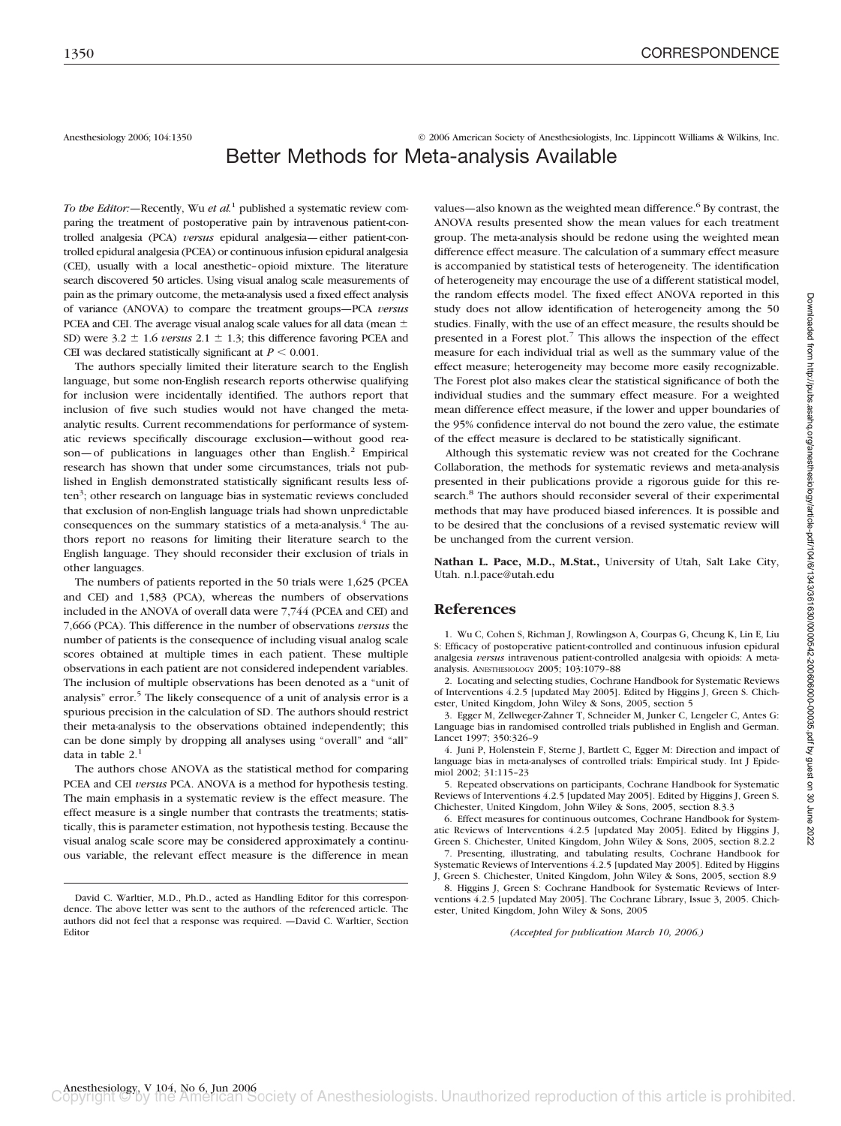Anesthesiology 2006; 104:1350 © 2006 American Society of Anesthesiologists, Inc. Lippincott Williams & Wilkins, Inc.

## Better Methods for Meta-analysis Available

*To the Editor:—*Recently, Wu *et al.*<sup>1</sup> published a systematic review comparing the treatment of postoperative pain by intravenous patient-controlled analgesia (PCA) *versus* epidural analgesia—either patient-controlled epidural analgesia (PCEA) or continuous infusion epidural analgesia (CEI), usually with a local anesthetic–opioid mixture. The literature search discovered 50 articles. Using visual analog scale measurements of pain as the primary outcome, the meta-analysis used a fixed effect analysis of variance (ANOVA) to compare the treatment groups—PCA *versus* PCEA and CEI. The average visual analog scale values for all data (mean  $\pm$ SD) were  $3.2 \pm 1.6$  *versus*  $2.1 \pm 1.3$ ; this difference favoring PCEA and CEI was declared statistically significant at  $P \leq 0.001$ .

The authors specially limited their literature search to the English language, but some non-English research reports otherwise qualifying for inclusion were incidentally identified. The authors report that inclusion of five such studies would not have changed the metaanalytic results. Current recommendations for performance of systematic reviews specifically discourage exclusion—without good reason—of publications in languages other than English. $^2$  Empirical research has shown that under some circumstances, trials not published in English demonstrated statistically significant results less often<sup>3</sup>; other research on language bias in systematic reviews concluded that exclusion of non-English language trials had shown unpredictable consequences on the summary statistics of a meta-analysis.<sup>4</sup> The authors report no reasons for limiting their literature search to the English language. They should reconsider their exclusion of trials in other languages.

The numbers of patients reported in the 50 trials were 1,625 (PCEA and CEI) and 1,583 (PCA), whereas the numbers of observations included in the ANOVA of overall data were 7,744 (PCEA and CEI) and 7,666 (PCA). This difference in the number of observations *versus* the number of patients is the consequence of including visual analog scale scores obtained at multiple times in each patient. These multiple observations in each patient are not considered independent variables. The inclusion of multiple observations has been denoted as a "unit of analysis" error.<sup>5</sup> The likely consequence of a unit of analysis error is a spurious precision in the calculation of SD. The authors should restrict their meta-analysis to the observations obtained independently; this can be done simply by dropping all analyses using "overall" and "all" data in table  $2<sup>1</sup>$ 

The authors chose ANOVA as the statistical method for comparing PCEA and CEI *versus* PCA. ANOVA is a method for hypothesis testing. The main emphasis in a systematic review is the effect measure. The effect measure is a single number that contrasts the treatments; statistically, this is parameter estimation, not hypothesis testing. Because the visual analog scale score may be considered approximately a continuous variable, the relevant effect measure is the difference in mean

values—also known as the weighted mean difference.<sup>6</sup> By contrast, the ANOVA results presented show the mean values for each treatment group. The meta-analysis should be redone using the weighted mean difference effect measure. The calculation of a summary effect measure is accompanied by statistical tests of heterogeneity. The identification of heterogeneity may encourage the use of a different statistical model, the random effects model. The fixed effect ANOVA reported in this study does not allow identification of heterogeneity among the 50 studies. Finally, with the use of an effect measure, the results should be presented in a Forest plot.<sup>7</sup> This allows the inspection of the effect measure for each individual trial as well as the summary value of the effect measure; heterogeneity may become more easily recognizable. The Forest plot also makes clear the statistical significance of both the individual studies and the summary effect measure. For a weighted mean difference effect measure, if the lower and upper boundaries of the 95% confidence interval do not bound the zero value, the estimate of the effect measure is declared to be statistically significant.

Although this systematic review was not created for the Cochrane Collaboration, the methods for systematic reviews and meta-analysis presented in their publications provide a rigorous guide for this research.<sup>8</sup> The authors should reconsider several of their experimental methods that may have produced biased inferences. It is possible and to be desired that the conclusions of a revised systematic review will be unchanged from the current version.

**Nathan L. Pace, M.D., M.Stat.,** University of Utah, Salt Lake City, Utah. n.l.pace@utah.edu

#### **References**

1. Wu C, Cohen S, Richman J, Rowlingson A, Courpas G, Cheung K, Lin E, Liu S: Efficacy of postoperative patient-controlled and continuous infusion epidural analgesia *versus* intravenous patient-controlled analgesia with opioids: A metaanalysis. ANESTHESIOLOGY 2005; 103:1079–88

2. Locating and selecting studies, Cochrane Handbook for Systematic Reviews of Interventions 4.2.5 [updated May 2005]. Edited by Higgins J, Green S. Chichester, United Kingdom, John Wiley & Sons, 2005, section 5

3. Egger M, Zellweger-Zahner T, Schneider M, Junker C, Lengeler C, Antes G: Language bias in randomised controlled trials published in English and German. Lancet 1997; 350:326–9

4. Juni P, Holenstein F, Sterne J, Bartlett C, Egger M: Direction and impact of language bias in meta-analyses of controlled trials: Empirical study. Int J Epidemiol 2002; 31:115–23

5. Repeated observations on participants, Cochrane Handbook for Systematic Reviews of Interventions 4.2.5 [updated May 2005]. Edited by Higgins J, Green S. Chichester, United Kingdom, John Wiley & Sons, 2005, section 8.3.3

6. Effect measures for continuous outcomes, Cochrane Handbook for Systematic Reviews of Interventions 4.2.5 [updated May 2005]. Edited by Higgins J, Green S. Chichester, United Kingdom, John Wiley & Sons, 2005, section 8.2.2

7. Presenting, illustrating, and tabulating results, Cochrane Handbook for Systematic Reviews of Interventions 4.2.5 [updated May 2005]. Edited by Higgins J, Green S. Chichester, United Kingdom, John Wiley & Sons, 2005, section 8.9

8. Higgins J, Green S: Cochrane Handbook for Systematic Reviews of Interventions 4.2.5 [updated May 2005]. The Cochrane Library, Issue 3, 2005. Chichester, United Kingdom, John Wiley & Sons, 2005

*(Accepted for publication March 10, 2006.)*

David C. Warltier, M.D., Ph.D., acted as Handling Editor for this correspondence. The above letter was sent to the authors of the referenced article. The authors did not feel that a response was required. —David C. Warltier, Section Editor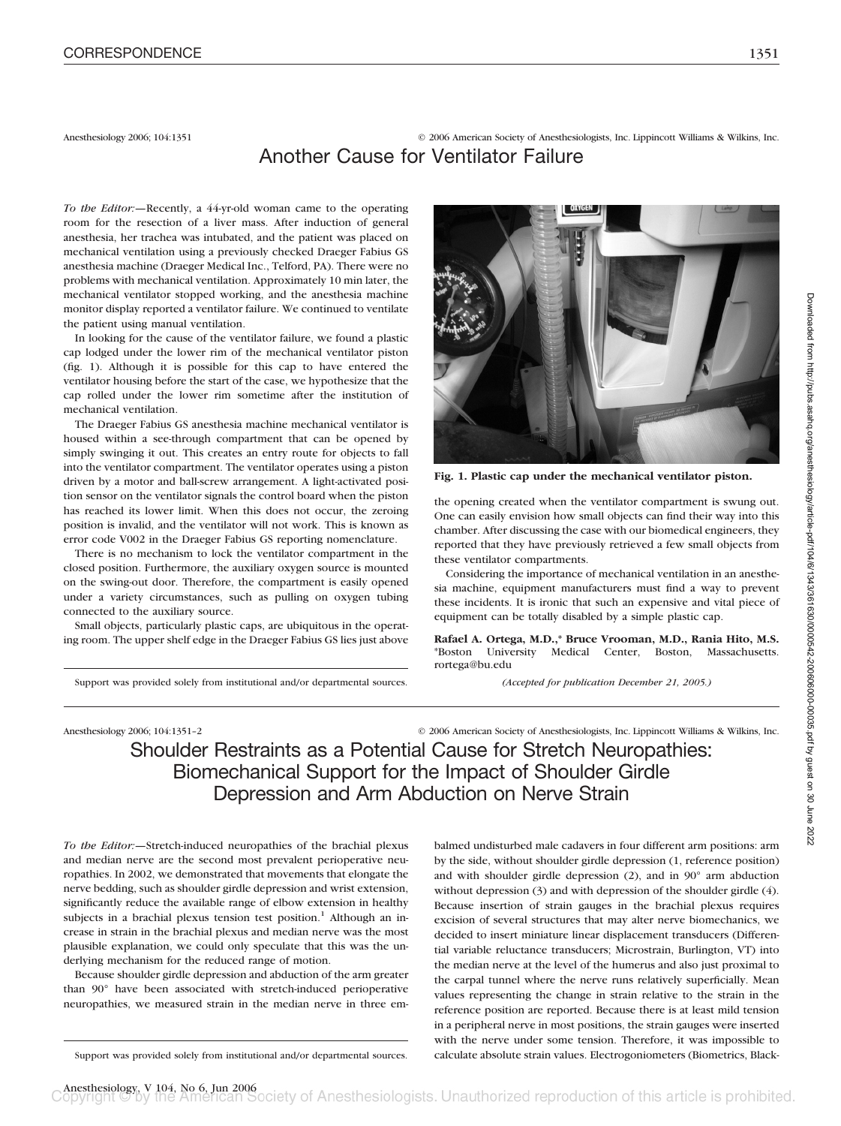Anesthesiology 2006; 104:1351 © 2006 American Society of Anesthesiologists, Inc. Lippincott Williams & Wilkins, Inc. Another Cause for Ventilator Failure

*To the Editor:—*Recently, a 44-yr-old woman came to the operating room for the resection of a liver mass. After induction of general anesthesia, her trachea was intubated, and the patient was placed on mechanical ventilation using a previously checked Draeger Fabius GS anesthesia machine (Draeger Medical Inc., Telford, PA). There were no problems with mechanical ventilation. Approximately 10 min later, the mechanical ventilator stopped working, and the anesthesia machine monitor display reported a ventilator failure. We continued to ventilate the patient using manual ventilation.

In looking for the cause of the ventilator failure, we found a plastic cap lodged under the lower rim of the mechanical ventilator piston (fig. 1). Although it is possible for this cap to have entered the ventilator housing before the start of the case, we hypothesize that the cap rolled under the lower rim sometime after the institution of mechanical ventilation.

The Draeger Fabius GS anesthesia machine mechanical ventilator is housed within a see-through compartment that can be opened by simply swinging it out. This creates an entry route for objects to fall into the ventilator compartment. The ventilator operates using a piston driven by a motor and ball-screw arrangement. A light-activated position sensor on the ventilator signals the control board when the piston has reached its lower limit. When this does not occur, the zeroing position is invalid, and the ventilator will not work. This is known as error code V002 in the Draeger Fabius GS reporting nomenclature.

There is no mechanism to lock the ventilator compartment in the closed position. Furthermore, the auxiliary oxygen source is mounted on the swing-out door. Therefore, the compartment is easily opened under a variety circumstances, such as pulling on oxygen tubing connected to the auxiliary source.

Small objects, particularly plastic caps, are ubiquitous in the operating room. The upper shelf edge in the Draeger Fabius GS lies just above

Support was provided solely from institutional and/or departmental sources.

the opening created when the ventilator compartment is swung out. **Fig. 1. Plastic cap under the mechanical ventilator piston.**

One can easily envision how small objects can find their way into this chamber. After discussing the case with our biomedical engineers, they reported that they have previously retrieved a few small objects from these ventilator compartments.

Considering the importance of mechanical ventilation in an anesthesia machine, equipment manufacturers must find a way to prevent these incidents. It is ironic that such an expensive and vital piece of equipment can be totally disabled by a simple plastic cap.

**Rafael A. Ortega, M.D.,\* Bruce Vrooman, M.D., Rania Hito, M.S.** \*Boston University Medical Center, Boston, Massachusetts. rortega@bu.edu

*(Accepted for publication December 21, 2005.)*

Anesthesiology 2006; 104:1351–2 © 2006 American Society of Anesthesiologists, Inc. Lippincott Williams & Wilkins, Inc.

Shoulder Restraints as a Potential Cause for Stretch Neuropathies: Biomechanical Support for the Impact of Shoulder Girdle Depression and Arm Abduction on Nerve Strain

*To the Editor:—*Stretch-induced neuropathies of the brachial plexus and median nerve are the second most prevalent perioperative neuropathies. In 2002, we demonstrated that movements that elongate the nerve bedding, such as shoulder girdle depression and wrist extension, significantly reduce the available range of elbow extension in healthy subjects in a brachial plexus tension test position.<sup>1</sup> Although an increase in strain in the brachial plexus and median nerve was the most plausible explanation, we could only speculate that this was the underlying mechanism for the reduced range of motion.

Because shoulder girdle depression and abduction of the arm greater than 90° have been associated with stretch-induced perioperative neuropathies, we measured strain in the median nerve in three em-

Support was provided solely from institutional and/or departmental sources.

balmed undisturbed male cadavers in four different arm positions: arm by the side, without shoulder girdle depression (1, reference position) and with shoulder girdle depression (2), and in 90° arm abduction without depression (3) and with depression of the shoulder girdle (4). Because insertion of strain gauges in the brachial plexus requires excision of several structures that may alter nerve biomechanics, we decided to insert miniature linear displacement transducers (Differential variable reluctance transducers; Microstrain, Burlington, VT) into the median nerve at the level of the humerus and also just proximal to the carpal tunnel where the nerve runs relatively superficially. Mean values representing the change in strain relative to the strain in the reference position are reported. Because there is at least mild tension in a peripheral nerve in most positions, the strain gauges were inserted with the nerve under some tension. Therefore, it was impossible to calculate absolute strain values. Electrogoniometers (Biometrics, Black-

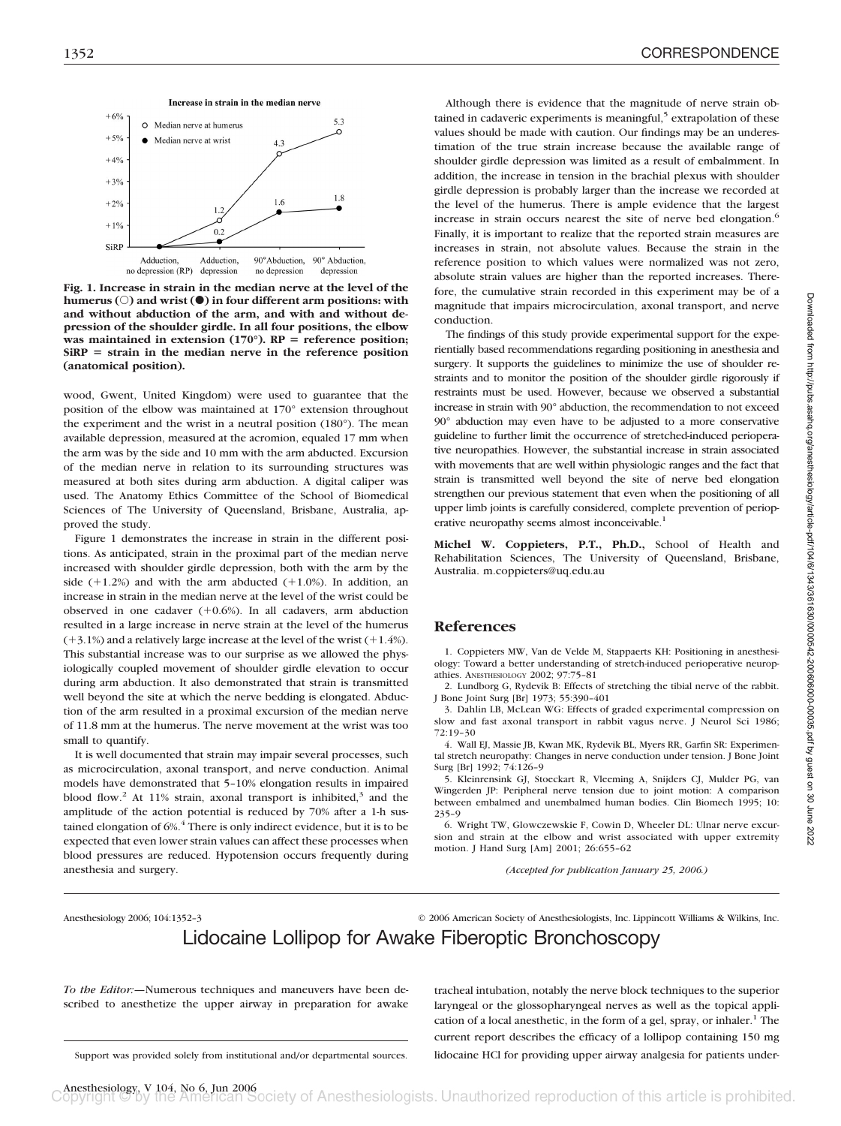

**Fig. 1. Increase in strain in the median nerve at the level of the humerus (**Œ**) and wrist () in four different arm positions: with and without abduction of the arm, and with and without depression of the shoulder girdle. In all four positions, the elbow** was maintained in extension (170°). RP = reference position; **SiRP strain in the median nerve in the reference position (anatomical position).**

wood, Gwent, United Kingdom) were used to guarantee that the position of the elbow was maintained at 170° extension throughout the experiment and the wrist in a neutral position (180°). The mean available depression, measured at the acromion, equaled 17 mm when the arm was by the side and 10 mm with the arm abducted. Excursion of the median nerve in relation to its surrounding structures was measured at both sites during arm abduction. A digital caliper was used. The Anatomy Ethics Committee of the School of Biomedical Sciences of The University of Queensland, Brisbane, Australia, approved the study.

Figure 1 demonstrates the increase in strain in the different positions. As anticipated, strain in the proximal part of the median nerve increased with shoulder girdle depression, both with the arm by the side  $(+1.2%)$  and with the arm abducted  $(+1.0%)$ . In addition, an increase in strain in the median nerve at the level of the wrist could be observed in one cadaver  $(+0.6%)$ . In all cadavers, arm abduction resulted in a large increase in nerve strain at the level of the humerus  $(+3.1%)$  and a relatively large increase at the level of the wrist  $(+1.4%)$ . This substantial increase was to our surprise as we allowed the physiologically coupled movement of shoulder girdle elevation to occur during arm abduction. It also demonstrated that strain is transmitted well beyond the site at which the nerve bedding is elongated. Abduction of the arm resulted in a proximal excursion of the median nerve of 11.8 mm at the humerus. The nerve movement at the wrist was too small to quantify.

It is well documented that strain may impair several processes, such as microcirculation, axonal transport, and nerve conduction. Animal models have demonstrated that 5–10% elongation results in impaired blood flow.<sup>2</sup> At 11% strain, axonal transport is inhibited,<sup>3</sup> and the amplitude of the action potential is reduced by 70% after a 1-h sustained elongation of  $6\%$ .<sup>4</sup> There is only indirect evidence, but it is to be expected that even lower strain values can affect these processes when blood pressures are reduced. Hypotension occurs frequently during anesthesia and surgery.

Although there is evidence that the magnitude of nerve strain obtained in cadaveric experiments is meaningful,<sup>5</sup> extrapolation of these values should be made with caution. Our findings may be an underestimation of the true strain increase because the available range of shoulder girdle depression was limited as a result of embalmment. In addition, the increase in tension in the brachial plexus with shoulder girdle depression is probably larger than the increase we recorded at the level of the humerus. There is ample evidence that the largest increase in strain occurs nearest the site of nerve bed elongation.<sup>6</sup> Finally, it is important to realize that the reported strain measures are increases in strain, not absolute values. Because the strain in the reference position to which values were normalized was not zero, absolute strain values are higher than the reported increases. Therefore, the cumulative strain recorded in this experiment may be of a magnitude that impairs microcirculation, axonal transport, and nerve conduction.

The findings of this study provide experimental support for the experientially based recommendations regarding positioning in anesthesia and surgery. It supports the guidelines to minimize the use of shoulder restraints and to monitor the position of the shoulder girdle rigorously if restraints must be used. However, because we observed a substantial increase in strain with 90° abduction, the recommendation to not exceed 90° abduction may even have to be adjusted to a more conservative guideline to further limit the occurrence of stretched-induced perioperative neuropathies. However, the substantial increase in strain associated with movements that are well within physiologic ranges and the fact that strain is transmitted well beyond the site of nerve bed elongation strengthen our previous statement that even when the positioning of all upper limb joints is carefully considered, complete prevention of perioperative neuropathy seems almost inconceivable.<sup>1</sup>

**Michel W. Coppieters, P.T., Ph.D.,** School of Health and Rehabilitation Sciences, The University of Queensland, Brisbane, Australia. m.coppieters@uq.edu.au

#### **References**

1. Coppieters MW, Van de Velde M, Stappaerts KH: Positioning in anesthesiology: Toward a better understanding of stretch-induced perioperative neuropathies. ANESTHESIOLOGY 2002; 97:75–81

2. Lundborg G, Rydevik B: Effects of stretching the tibial nerve of the rabbit. J Bone Joint Surg [Br] 1973; 55:390–401

3. Dahlin LB, McLean WG: Effects of graded experimental compression on slow and fast axonal transport in rabbit vagus nerve. J Neurol Sci 1986; 72:19–30

4. Wall EJ, Massie JB, Kwan MK, Rydevik BL, Myers RR, Garfin SR: Experimental stretch neuropathy: Changes in nerve conduction under tension. J Bone Joint Surg [Br] 1992; 74:126–9

5. Kleinrensink GJ, Stoeckart R, Vleeming A, Snijders CJ, Mulder PG, van Wingerden JP: Peripheral nerve tension due to joint motion: A comparison between embalmed and unembalmed human bodies. Clin Biomech 1995; 10: 235–9

6. Wright TW, Glowczewskie F, Cowin D, Wheeler DL: Ulnar nerve excursion and strain at the elbow and wrist associated with upper extremity motion. J Hand Surg [Am] 2001; 26:655–62

*(Accepted for publication January 25, 2006.)*

Anesthesiology 2006; 104:1352–3 © 2006 American Society of Anesthesiologists, Inc. Lippincott Williams & Wilkins, Inc. Lidocaine Lollipop for Awake Fiberoptic Bronchoscopy

*To the Editor:—*Numerous techniques and maneuvers have been described to anesthetize the upper airway in preparation for awake

tracheal intubation, notably the nerve block techniques to the superior laryngeal or the glossopharyngeal nerves as well as the topical application of a local anesthetic, in the form of a gel, spray, or inhaler.<sup>1</sup> The current report describes the efficacy of a lollipop containing 150 mg Support was provided solely from institutional and/or departmental sources. lidocaine HCl for providing upper airway analgesia for patients under-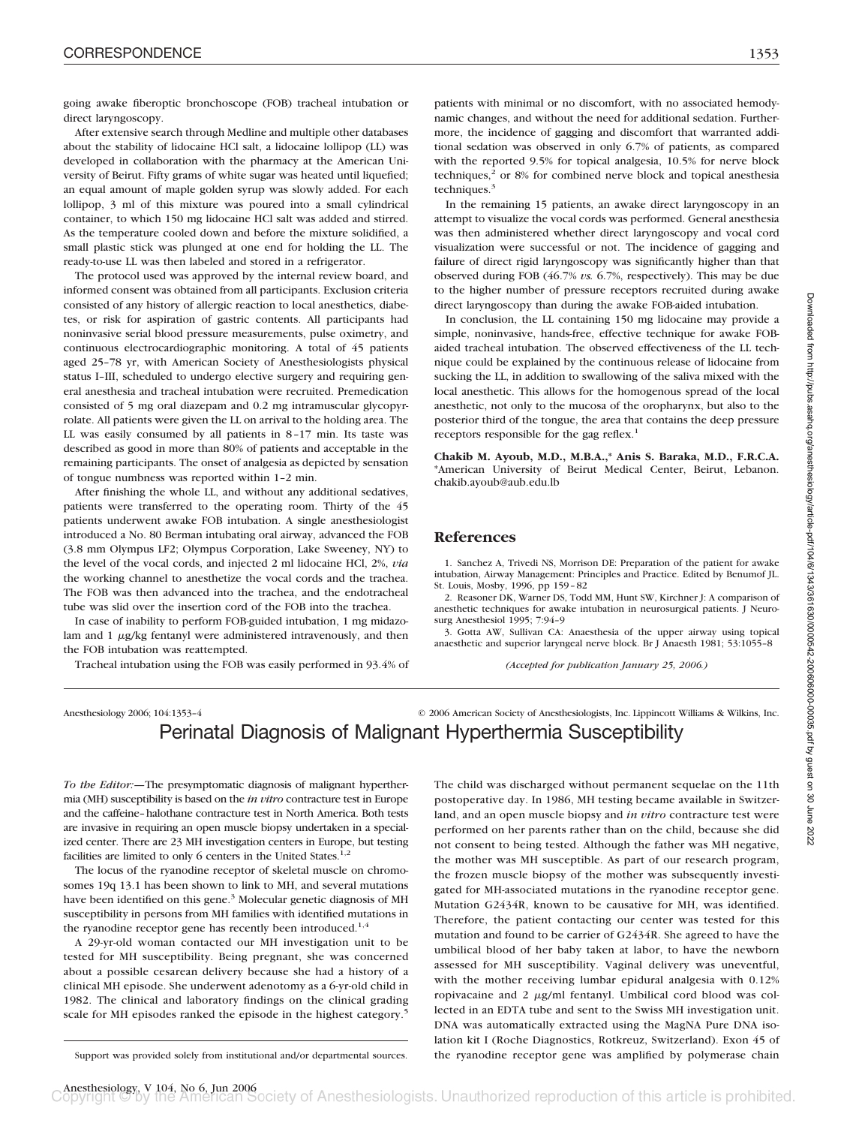going awake fiberoptic bronchoscope (FOB) tracheal intubation or direct laryngoscopy.

After extensive search through Medline and multiple other databases about the stability of lidocaine HCl salt, a lidocaine lollipop (LL) was developed in collaboration with the pharmacy at the American University of Beirut. Fifty grams of white sugar was heated until liquefied; an equal amount of maple golden syrup was slowly added. For each lollipop, 3 ml of this mixture was poured into a small cylindrical container, to which 150 mg lidocaine HCl salt was added and stirred. As the temperature cooled down and before the mixture solidified, a small plastic stick was plunged at one end for holding the LL. The ready-to-use LL was then labeled and stored in a refrigerator.

The protocol used was approved by the internal review board, and informed consent was obtained from all participants. Exclusion criteria consisted of any history of allergic reaction to local anesthetics, diabetes, or risk for aspiration of gastric contents. All participants had noninvasive serial blood pressure measurements, pulse oximetry, and continuous electrocardiographic monitoring. A total of 45 patients aged 25–78 yr, with American Society of Anesthesiologists physical status I–III, scheduled to undergo elective surgery and requiring general anesthesia and tracheal intubation were recruited. Premedication consisted of 5 mg oral diazepam and 0.2 mg intramuscular glycopyrrolate. All patients were given the LL on arrival to the holding area. The LL was easily consumed by all patients in 8 –17 min. Its taste was described as good in more than 80% of patients and acceptable in the remaining participants. The onset of analgesia as depicted by sensation of tongue numbness was reported within 1–2 min.

After finishing the whole LL, and without any additional sedatives, patients were transferred to the operating room. Thirty of the 45 patients underwent awake FOB intubation. A single anesthesiologist introduced a No. 80 Berman intubating oral airway, advanced the FOB (3.8 mm Olympus LF2; Olympus Corporation, Lake Sweeney, NY) to the level of the vocal cords, and injected 2 ml lidocaine HCl, 2%, *via* the working channel to anesthetize the vocal cords and the trachea. The FOB was then advanced into the trachea, and the endotracheal tube was slid over the insertion cord of the FOB into the trachea.

In case of inability to perform FOB-guided intubation, 1 mg midazolam and 1 µg/kg fentanyl were administered intravenously, and then the FOB intubation was reattempted.

Tracheal intubation using the FOB was easily performed in 93.4% of

patients with minimal or no discomfort, with no associated hemodynamic changes, and without the need for additional sedation. Furthermore, the incidence of gagging and discomfort that warranted additional sedation was observed in only 6.7% of patients, as compared with the reported 9.5% for topical analgesia, 10.5% for nerve block techniques, $2$  or 8% for combined nerve block and topical anesthesia techniques. $3$ 

In the remaining 15 patients, an awake direct laryngoscopy in an attempt to visualize the vocal cords was performed. General anesthesia was then administered whether direct laryngoscopy and vocal cord visualization were successful or not. The incidence of gagging and failure of direct rigid laryngoscopy was significantly higher than that observed during FOB (46.7% *vs.* 6.7%, respectively). This may be due to the higher number of pressure receptors recruited during awake direct laryngoscopy than during the awake FOB-aided intubation.

In conclusion, the LL containing 150 mg lidocaine may provide a simple, noninvasive, hands-free, effective technique for awake FOBaided tracheal intubation. The observed effectiveness of the LL technique could be explained by the continuous release of lidocaine from sucking the LL, in addition to swallowing of the saliva mixed with the local anesthetic. This allows for the homogenous spread of the local anesthetic, not only to the mucosa of the oropharynx, but also to the posterior third of the tongue, the area that contains the deep pressure receptors responsible for the gag reflex.<sup>1</sup>

**Chakib M. Ayoub, M.D., M.B.A.,\* Anis S. Baraka, M.D., F.R.C.A.** \*American University of Beirut Medical Center, Beirut, Lebanon. chakib.ayoub@aub.edu.lb

#### **References**

1. Sanchez A, Trivedi NS, Morrison DE: Preparation of the patient for awake intubation, Airway Management: Principles and Practice. Edited by Benumof JL. St. Louis, Mosby, 1996, pp 159 – 82

2. Reasoner DK, Warner DS, Todd MM, Hunt SW, Kirchner J: A comparison of anesthetic techniques for awake intubation in neurosurgical patients. J Neurosurg Anesthesiol 1995; 7:94–9

3. Gotta AW, Sullivan CA: Anaesthesia of the upper airway using topical anaesthetic and superior laryngeal nerve block. Br J Anaesth 1981; 53:1055–8

*(Accepted for publication January 25, 2006.)*

### Anesthesiology 2006; 104:1353–4 © 2006 American Society of Anesthesiologists, Inc. Lippincott Williams & Wilkins, Inc. Perinatal Diagnosis of Malignant Hyperthermia Susceptibility

*To the Editor:—*The presymptomatic diagnosis of malignant hyperthermia (MH) susceptibility is based on the *in vitro* contracture test in Europe and the caffeine–halothane contracture test in North America. Both tests are invasive in requiring an open muscle biopsy undertaken in a specialized center. There are 23 MH investigation centers in Europe, but testing facilities are limited to only  $6$  centers in the United States.<sup>1,2</sup>

The locus of the ryanodine receptor of skeletal muscle on chromosomes 19q 13.1 has been shown to link to MH, and several mutations have been identified on this gene.<sup>3</sup> Molecular genetic diagnosis of MH susceptibility in persons from MH families with identified mutations in the ryanodine receptor gene has recently been introduced.<sup>1,4</sup>

A 29-yr-old woman contacted our MH investigation unit to be tested for MH susceptibility. Being pregnant, she was concerned about a possible cesarean delivery because she had a history of a clinical MH episode. She underwent adenotomy as a 6-yr-old child in 1982. The clinical and laboratory findings on the clinical grading scale for MH episodes ranked the episode in the highest category.<sup>5</sup>

The child was discharged without permanent sequelae on the 11th postoperative day. In 1986, MH testing became available in Switzerland, and an open muscle biopsy and *in vitro* contracture test were performed on her parents rather than on the child, because she did not consent to being tested. Although the father was MH negative, the mother was MH susceptible. As part of our research program, the frozen muscle biopsy of the mother was subsequently investigated for MH-associated mutations in the ryanodine receptor gene. Mutation G2434R, known to be causative for MH, was identified. Therefore, the patient contacting our center was tested for this mutation and found to be carrier of G2434R. She agreed to have the umbilical blood of her baby taken at labor, to have the newborn assessed for MH susceptibility. Vaginal delivery was uneventful, with the mother receiving lumbar epidural analgesia with 0.12% ropivacaine and 2 µg/ml fentanyl. Umbilical cord blood was collected in an EDTA tube and sent to the Swiss MH investigation unit. DNA was automatically extracted using the MagNA Pure DNA isolation kit I (Roche Diagnostics, Rotkreuz, Switzerland). Exon 45 of Support was provided solely from institutional and/or departmental sources. the ryanodine receptor gene was amplified by polymerase chain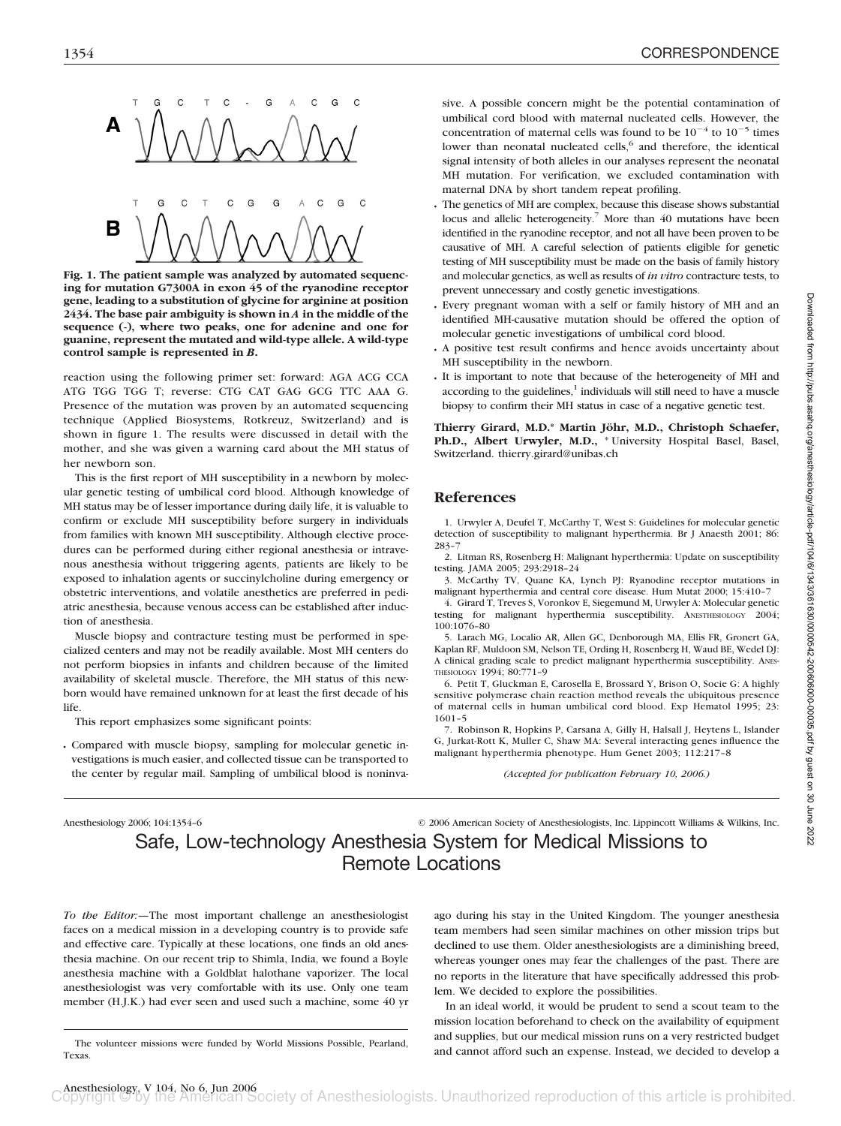



**Fig. 1. The patient sample was analyzed by automated sequencing for mutation G7300A in exon 45 of the ryanodine receptor gene, leading to a substitution of glycine for arginine at position 2434. The base pair ambiguity is shown in** *A* **in the middle of the sequence (-), where two peaks, one for adenine and one for guanine, represent the mutated and wild-type allele. A wild-type control sample is represented in** *B***.**

reaction using the following primer set: forward: AGA ACG CCA ATG TGG TGG T; reverse: CTG CAT GAG GCG TTC AAA G. Presence of the mutation was proven by an automated sequencing technique (Applied Biosystems, Rotkreuz, Switzerland) and is shown in figure 1. The results were discussed in detail with the mother, and she was given a warning card about the MH status of her newborn son.

This is the first report of MH susceptibility in a newborn by molecular genetic testing of umbilical cord blood. Although knowledge of MH status may be of lesser importance during daily life, it is valuable to confirm or exclude MH susceptibility before surgery in individuals from families with known MH susceptibility. Although elective procedures can be performed during either regional anesthesia or intravenous anesthesia without triggering agents, patients are likely to be exposed to inhalation agents or succinylcholine during emergency or obstetric interventions, and volatile anesthetics are preferred in pediatric anesthesia, because venous access can be established after induction of anesthesia.

Muscle biopsy and contracture testing must be performed in specialized centers and may not be readily available. Most MH centers do not perform biopsies in infants and children because of the limited availability of skeletal muscle. Therefore, the MH status of this newborn would have remained unknown for at least the first decade of his life.

This report emphasizes some significant points:

● Compared with muscle biopsy, sampling for molecular genetic investigations is much easier, and collected tissue can be transported to the center by regular mail. Sampling of umbilical blood is noninva-

sive. A possible concern might be the potential contamination of umbilical cord blood with maternal nucleated cells. However, the concentration of maternal cells was found to be  $10^{-4}$  to  $10^{-5}$  times lower than neonatal nucleated cells, $<sup>6</sup>$  and therefore, the identical</sup> signal intensity of both alleles in our analyses represent the neonatal MH mutation. For verification, we excluded contamination with maternal DNA by short tandem repeat profiling.

- The genetics of MH are complex, because this disease shows substantial locus and allelic heterogeneity.<sup>7</sup> More than 40 mutations have been identified in the ryanodine receptor, and not all have been proven to be causative of MH. A careful selection of patients eligible for genetic testing of MH susceptibility must be made on the basis of family history and molecular genetics, as well as results of *in vitro* contracture tests, to prevent unnecessary and costly genetic investigations.
- Every pregnant woman with a self or family history of MH and an identified MH-causative mutation should be offered the option of molecular genetic investigations of umbilical cord blood.
- . A positive test result confirms and hence avoids uncertainty about MH susceptibility in the newborn.
- It is important to note that because of the heterogeneity of MH and according to the guidelines, $<sup>1</sup>$  individuals will still need to have a muscle</sup> biopsy to confirm their MH status in case of a negative genetic test.

Thierry Girard, M.D.\* Martin Jöhr, M.D., Christoph Schaefer, **Ph.D., Albert Urwyler, M.D.,** \* University Hospital Basel, Basel, Switzerland. thierry.girard@unibas.ch

#### **References**

1. Urwyler A, Deufel T, McCarthy T, West S: Guidelines for molecular genetic detection of susceptibility to malignant hyperthermia. Br J Anaesth 2001; 86: 283–7

2. Litman RS, Rosenberg H: Malignant hyperthermia: Update on susceptibility testing. JAMA 2005; 293:2918–24

3. McCarthy TV, Quane KA, Lynch PJ: Ryanodine receptor mutations in malignant hyperthermia and central core disease. Hum Mutat 2000; 15:410–7

4. Girard T, Treves S, Voronkov E, Siegemund M, Urwyler A: Molecular genetic testing for malignant hyperthermia susceptibility. ANESTHESIOLOGY 100:1076–80

5. Larach MG, Localio AR, Allen GC, Denborough MA, Ellis FR, Gronert GA, Kaplan RF, Muldoon SM, Nelson TE, Ording H, Rosenberg H, Waud BE, Wedel DJ: A clinical grading scale to predict malignant hyperthermia susceptibility. ANES-THESIOLOGY 1994; 80:771–9

6. Petit T, Gluckman E, Carosella E, Brossard Y, Brison O, Socie G: A highly sensitive polymerase chain reaction method reveals the ubiquitous presence of maternal cells in human umbilical cord blood. Exp Hematol 1995; 23: 1601–5

7. Robinson R, Hopkins P, Carsana A, Gilly H, Halsall J, Heytens L, Islander G, Jurkat-Rott K, Muller C, Shaw MA: Several interacting genes influence the malignant hyperthermia phenotype. Hum Genet 2003; 112:217–8

*(Accepted for publication February 10, 2006.)*

Anesthesiology 2006; 104:1354–6 © 2006 American Society of Anesthesiologists, Inc. Lippincott Williams & Wilkins, Inc.

### Safe, Low-technology Anesthesia System for Medical Missions to Remote Locations

*To the Editor:—*The most important challenge an anesthesiologist faces on a medical mission in a developing country is to provide safe and effective care. Typically at these locations, one finds an old anesthesia machine. On our recent trip to Shimla, India, we found a Boyle anesthesia machine with a Goldblat halothane vaporizer. The local anesthesiologist was very comfortable with its use. Only one team member (H.J.K.) had ever seen and used such a machine, some 40 yr

ago during his stay in the United Kingdom. The younger anesthesia team members had seen similar machines on other mission trips but declined to use them. Older anesthesiologists are a diminishing breed, whereas younger ones may fear the challenges of the past. There are no reports in the literature that have specifically addressed this problem. We decided to explore the possibilities.

In an ideal world, it would be prudent to send a scout team to the mission location beforehand to check on the availability of equipment and supplies, but our medical mission runs on a very restricted budget The volunteer missions were funded by World Missions Possible, Pearland, and supplies, but our included infission runs on a very restricted budget

Texas.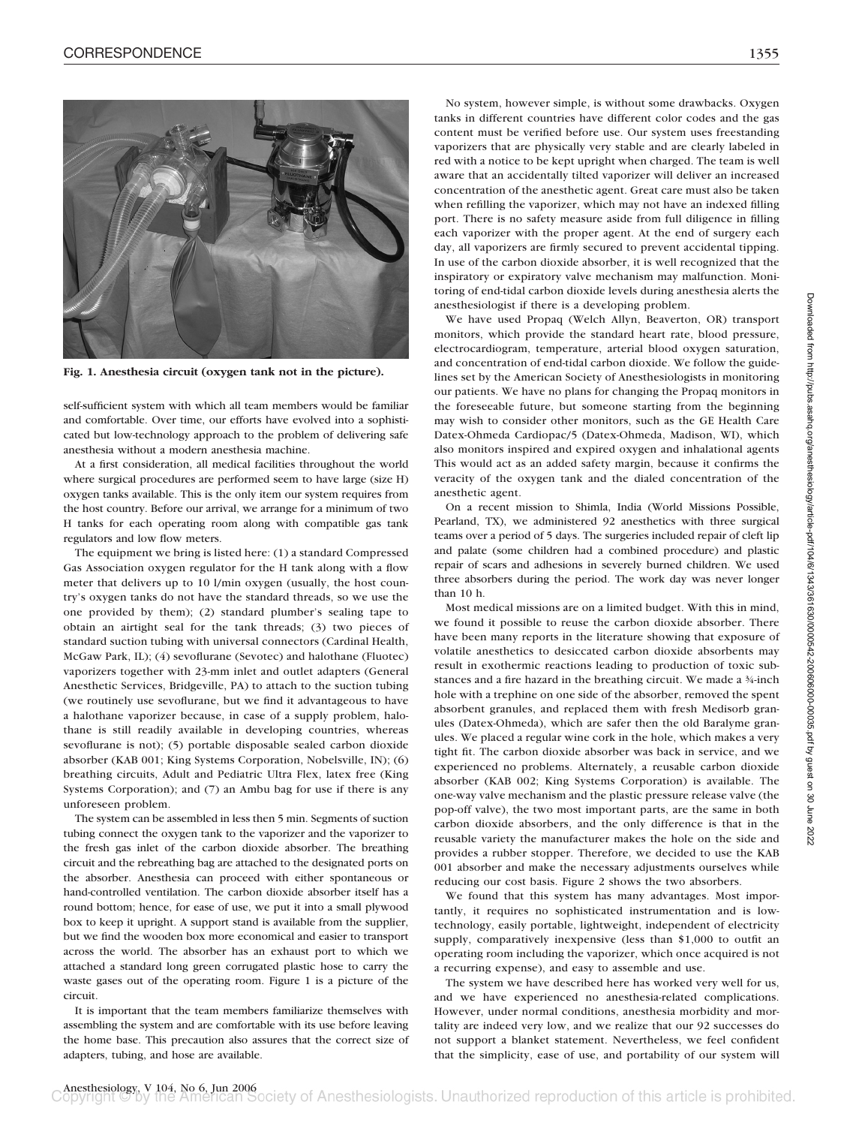

**Fig. 1. Anesthesia circuit (oxygen tank not in the picture).**

self-sufficient system with which all team members would be familiar and comfortable. Over time, our efforts have evolved into a sophisticated but low-technology approach to the problem of delivering safe anesthesia without a modern anesthesia machine.

At a first consideration, all medical facilities throughout the world where surgical procedures are performed seem to have large (size H) oxygen tanks available. This is the only item our system requires from the host country. Before our arrival, we arrange for a minimum of two H tanks for each operating room along with compatible gas tank regulators and low flow meters.

The equipment we bring is listed here: (1) a standard Compressed Gas Association oxygen regulator for the H tank along with a flow meter that delivers up to 10 l/min oxygen (usually, the host country's oxygen tanks do not have the standard threads, so we use the one provided by them); (2) standard plumber's sealing tape to obtain an airtight seal for the tank threads; (3) two pieces of standard suction tubing with universal connectors (Cardinal Health, McGaw Park, IL); (4) sevoflurane (Sevotec) and halothane (Fluotec) vaporizers together with 23-mm inlet and outlet adapters (General Anesthetic Services, Bridgeville, PA) to attach to the suction tubing (we routinely use sevoflurane, but we find it advantageous to have a halothane vaporizer because, in case of a supply problem, halothane is still readily available in developing countries, whereas sevoflurane is not); (5) portable disposable sealed carbon dioxide absorber (KAB 001; King Systems Corporation, Nobelsville, IN); (6) breathing circuits, Adult and Pediatric Ultra Flex, latex free (King Systems Corporation); and (7) an Ambu bag for use if there is any unforeseen problem.

The system can be assembled in less then 5 min. Segments of suction tubing connect the oxygen tank to the vaporizer and the vaporizer to the fresh gas inlet of the carbon dioxide absorber. The breathing circuit and the rebreathing bag are attached to the designated ports on the absorber. Anesthesia can proceed with either spontaneous or hand-controlled ventilation. The carbon dioxide absorber itself has a round bottom; hence, for ease of use, we put it into a small plywood box to keep it upright. A support stand is available from the supplier, but we find the wooden box more economical and easier to transport across the world. The absorber has an exhaust port to which we attached a standard long green corrugated plastic hose to carry the waste gases out of the operating room. Figure 1 is a picture of the circuit.

It is important that the team members familiarize themselves with assembling the system and are comfortable with its use before leaving the home base. This precaution also assures that the correct size of adapters, tubing, and hose are available.

No system, however simple, is without some drawbacks. Oxygen tanks in different countries have different color codes and the gas content must be verified before use. Our system uses freestanding vaporizers that are physically very stable and are clearly labeled in red with a notice to be kept upright when charged. The team is well aware that an accidentally tilted vaporizer will deliver an increased concentration of the anesthetic agent. Great care must also be taken when refilling the vaporizer, which may not have an indexed filling port. There is no safety measure aside from full diligence in filling each vaporizer with the proper agent. At the end of surgery each day, all vaporizers are firmly secured to prevent accidental tipping. In use of the carbon dioxide absorber, it is well recognized that the inspiratory or expiratory valve mechanism may malfunction. Monitoring of end-tidal carbon dioxide levels during anesthesia alerts the anesthesiologist if there is a developing problem.

We have used Propaq (Welch Allyn, Beaverton, OR) transport monitors, which provide the standard heart rate, blood pressure, electrocardiogram, temperature, arterial blood oxygen saturation, and concentration of end-tidal carbon dioxide. We follow the guidelines set by the American Society of Anesthesiologists in monitoring our patients. We have no plans for changing the Propaq monitors in the foreseeable future, but someone starting from the beginning may wish to consider other monitors, such as the GE Health Care Datex-Ohmeda Cardiopac/5 (Datex-Ohmeda, Madison, WI), which also monitors inspired and expired oxygen and inhalational agents This would act as an added safety margin, because it confirms the veracity of the oxygen tank and the dialed concentration of the anesthetic agent.

On a recent mission to Shimla, India (World Missions Possible, Pearland, TX), we administered 92 anesthetics with three surgical teams over a period of 5 days. The surgeries included repair of cleft lip and palate (some children had a combined procedure) and plastic repair of scars and adhesions in severely burned children. We used three absorbers during the period. The work day was never longer than 10 h.

Most medical missions are on a limited budget. With this in mind, we found it possible to reuse the carbon dioxide absorber. There have been many reports in the literature showing that exposure of volatile anesthetics to desiccated carbon dioxide absorbents may result in exothermic reactions leading to production of toxic substances and a fire hazard in the breathing circuit. We made a ¾-inch hole with a trephine on one side of the absorber, removed the spent absorbent granules, and replaced them with fresh Medisorb granules (Datex-Ohmeda), which are safer then the old Baralyme granules. We placed a regular wine cork in the hole, which makes a very tight fit. The carbon dioxide absorber was back in service, and we experienced no problems. Alternately, a reusable carbon dioxide absorber (KAB 002; King Systems Corporation) is available. The one-way valve mechanism and the plastic pressure release valve (the pop-off valve), the two most important parts, are the same in both carbon dioxide absorbers, and the only difference is that in the reusable variety the manufacturer makes the hole on the side and provides a rubber stopper. Therefore, we decided to use the KAB 001 absorber and make the necessary adjustments ourselves while reducing our cost basis. Figure 2 shows the two absorbers.

We found that this system has many advantages. Most importantly, it requires no sophisticated instrumentation and is lowtechnology, easily portable, lightweight, independent of electricity supply, comparatively inexpensive (less than \$1,000 to outfit an operating room including the vaporizer, which once acquired is not a recurring expense), and easy to assemble and use.

The system we have described here has worked very well for us, and we have experienced no anesthesia-related complications. However, under normal conditions, anesthesia morbidity and mortality are indeed very low, and we realize that our 92 successes do not support a blanket statement. Nevertheless, we feel confident that the simplicity, ease of use, and portability of our system will